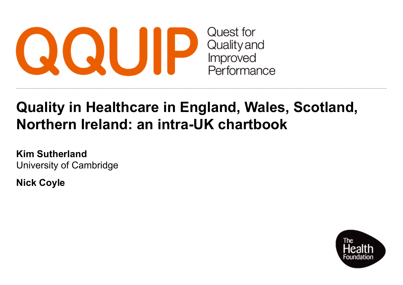

# **Quality in Healthcare in England, Wales, Scotland, Northern Ireland: an intra-UK chartbook**

**Kim Sutherland** University of Cambridge

**Nick Coyle**

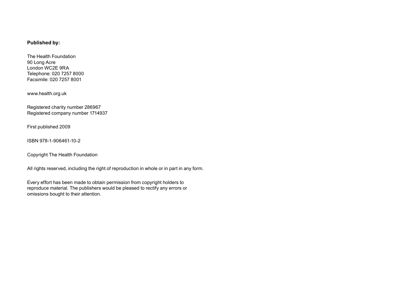#### **Published by:**

The Health Foundation 90 Long Acre London WC2E 9RA Telephone: 020 7257 8000 Facsimile: 020 7257 8001

[www.health.org.uk](http://www.health.org.uk)

Registered charity number 286967 Registered company number 1714937

First published 2009

ISBN 978-1-906461-10-2

Copyright The Health Foundation

All rights reserved, including the right of reproduction in whole or in part in any form.

Every effort has been made to obtain permission from copyright holders to reproduce material. The publishers would be pleased to rectify any errors or omissions bought to their attention.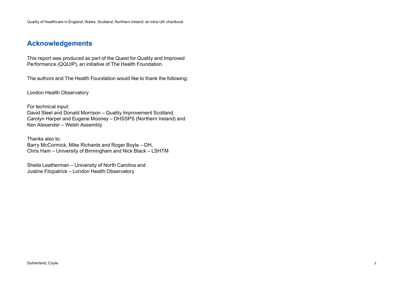# **Acknowledgements**

This report was produced as part of the Quest for Quality and Improved Performance (QQUIP), an initiative of The Health Foundation.

The authors and The Health Foundation would like to thank the following:

London Health Observatory

For technical input: David Steel and Donald Morrison – Quality Improvement Scotland, Carolyn Harper and Eugene Mooney – DHSSPS (Northern Ireland) and Ken Alexander – Welsh Assembly

Thanks also to: Barry McCormick, Mike Richards and Roger Boyle – DH, Chris Ham – University of Birmingham and Nick Black – LSHTM

Sheila Leatherman – University of North Carolina and Justine Fitzpatrick – London Health Observatory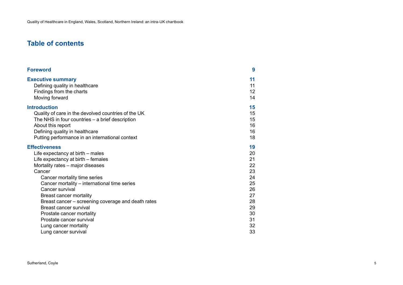# **Table of contents**

| 9                                                                                      |
|----------------------------------------------------------------------------------------|
| 11<br>11<br>12<br>14                                                                   |
| 15<br>15<br>15<br>16<br>16<br>18                                                       |
| 19<br>20<br>21<br>22<br>23<br>24<br>25<br>26<br>27<br>28<br>29<br>30<br>31<br>32<br>33 |
|                                                                                        |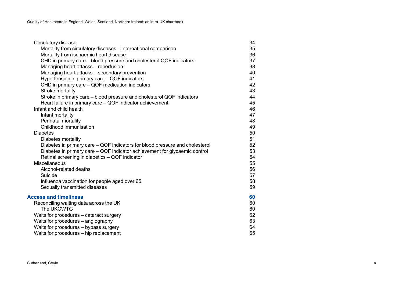| Circulatory disease                                                          | 34 |
|------------------------------------------------------------------------------|----|
| Mortality from circulatory diseases – international comparison               | 35 |
| Mortality from ischaemic heart disease                                       | 36 |
| CHD in primary care – blood pressure and cholesterol QOF indicators          | 37 |
| Managing heart attacks - reperfusion                                         | 38 |
| Managing heart attacks - secondary prevention                                | 40 |
| Hypertension in primary care - QOF indicators                                | 41 |
| CHD in primary care - QOF medication indicators                              | 42 |
| Stroke mortality                                                             | 43 |
| Stroke in primary care – blood pressure and cholesterol QOF indicators       | 44 |
| Heart failure in primary care - QOF indicator achievement                    | 45 |
| Infant and child health                                                      | 46 |
| Infant mortality                                                             | 47 |
| Perinatal mortality                                                          | 48 |
| Childhood immunisation                                                       | 49 |
| <b>Diabetes</b>                                                              | 50 |
| Diabetes mortality                                                           | 51 |
| Diabetes in primary care – QOF indicators for blood pressure and cholesterol | 52 |
| Diabetes in primary care – QOF indicator achievement for glycaemic control   | 53 |
| Retinal screening in diabetics - QOF indicator                               | 54 |
| Miscellaneous                                                                | 55 |
| Alcohol-related deaths                                                       | 56 |
| Suicide                                                                      | 57 |
| Influenza vaccination for people aged over 65                                | 58 |
| Sexually transmitted diseases                                                | 59 |
| <b>Access and timeliness</b>                                                 | 60 |
| Reconciling waiting data across the UK                                       | 60 |
| The UKCWTG                                                                   | 60 |
| Waits for procedures - cataract surgery                                      | 62 |
| Waits for procedures - angiography                                           | 63 |
| Waits for procedures - bypass surgery                                        | 64 |
| Waits for procedures - hip replacement                                       | 65 |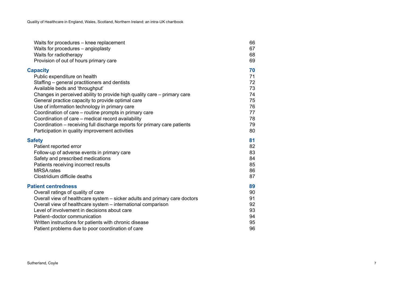| Waits for procedures - knee replacement                                    | 66 |
|----------------------------------------------------------------------------|----|
| Waits for procedures - angioplasty                                         | 67 |
| Waits for radiotherapy                                                     | 68 |
| Provision of out of hours primary care                                     | 69 |
| <b>Capacity</b>                                                            | 70 |
| Public expenditure on health                                               | 71 |
| Staffing – general practitioners and dentists                              | 72 |
| Available beds and 'throughput'                                            | 73 |
| Changes in perceived ability to provide high quality care – primary care   | 74 |
| General practice capacity to provide optimal care                          | 75 |
| Use of information technology in primary care                              | 76 |
| Coordination of care – routine prompts in primary care                     | 77 |
| Coordination of care – medical record availability                         | 78 |
| Coordination - receiving full discharge reports for primary care patients  | 79 |
| Participation in quality improvement activities                            | 80 |
| <b>Safety</b>                                                              | 81 |
| Patient reported error                                                     | 82 |
| Follow-up of adverse events in primary care                                | 83 |
| Safety and prescribed medications                                          | 84 |
| Patients receiving incorrect results                                       | 85 |
| <b>MRSA</b> rates                                                          | 86 |
| Clostridium difficile deaths                                               | 87 |
| <b>Patient centredness</b>                                                 | 89 |
| Overall ratings of quality of care                                         | 90 |
| Overall view of healthcare system - sicker adults and primary care doctors | 91 |
| Overall view of healthcare system - international comparison               | 92 |
| Level of involvement in decisions about care                               | 93 |
| Patient-doctor communication                                               | 94 |
| Written instructions for patients with chronic disease                     | 95 |
| Patient problems due to poor coordination of care                          | 96 |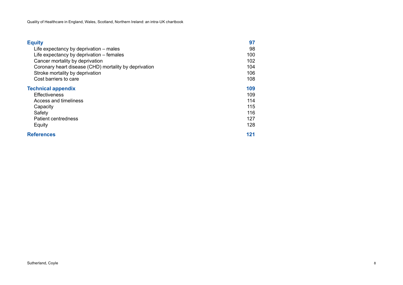| <b>Equity</b>                                         | 97  |
|-------------------------------------------------------|-----|
| Life expectancy by deprivation – males                | 98  |
| Life expectancy by deprivation – females              | 100 |
| Cancer mortality by deprivation                       | 102 |
| Coronary heart disease (CHD) mortality by deprivation | 104 |
| Stroke mortality by deprivation                       | 106 |
| Cost barriers to care                                 | 108 |
| <b>Technical appendix</b>                             | 109 |
| <b>Effectiveness</b>                                  | 109 |
| Access and timeliness                                 | 114 |
| Capacity                                              | 115 |
| Safety                                                | 116 |
| Patient centredness                                   | 127 |
| Equity                                                | 128 |
| <b>References</b>                                     | 121 |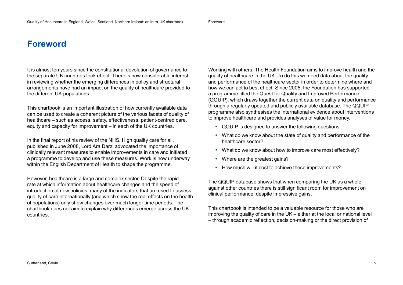# **Foreword**

It is almost ten years since the constitutional devolution of governance to the separate UK countries took effect. There is now considerable interest in reviewing whether the emerging differences in policy and structural arrangements have had an impact on the quality of healthcare provided to the different UK populations.

This chartbook is an important illustration of how currently available data can be used to create a coherent picture of the various facets of quality of healthcare – such as access, safety, effectiveness, patient-centred care, equity and capacity for improvement – in each of the UK countries.

In the final report of his review of the NHS, High quality care for all, published in June 2008, Lord Ara Darzi advocated the importance of clinically relevant measures to enable improvements in care and initiated a programme to develop and use these measures. Work is now underway within the English Department of Health to shape the programme.

However, healthcare is a large and complex sector. Despite the rapid rate at which information about healthcare changes and the speed of introduction of new policies, many of the indicators that are used to assess quality of care internationally (and which show the real effects on the health of populations) only show changes over much longer time periods. The chartbook does not aim to explain why differences emerge across the UK countries.

Working with others, The Health Foundation aims to improve health and the quality of healthcare in the UK. To do this we need data about the quality and performance of the healthcare sector in order to determine where and how we can act to best effect. Since 2005, the Foundation has supported a programme titled the Quest for Quality and Improved Performance (QQUIP), which draws together the current data on quality and performance through a regularly updated and publicly available database. The QQUIP programme also synthesises the international evidence about interventions to improve healthcare and provides analyses of value for money.

- QQUIP is designed to answer the following questions:
- What do we know about the state of quality and performance of the healthcare sector?
- What do we know about how to improve care most effectively?
- Where are the greatest gains?
- How much will it cost to achieve these improvements?

The QQUIP database shows that when comparing the UK as a whole against other countries there is still significant room for improvement on clinical performance, despite impressive gains.

This chartbook is intended to be a valuable resource for those who are improving the quality of care in the UK – either at the local or national level – through academic reflection, decision-making or the direct provision of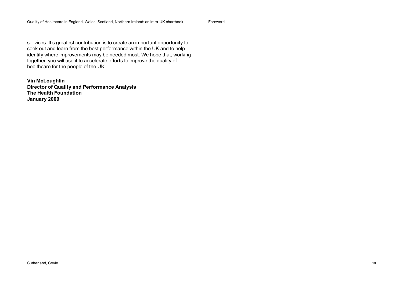Foreword

services. It's greatest contribution is to create an important opportunity to seek out and learn from the best performance within the UK and to help identify where improvements may be needed most. We hope that, working together, you will use it to accelerate efforts to improve the quality of healthcare for the people of the UK.

**Vin McLoughlin Director of Quality and Performance Analysis The Health Foundation January 2009**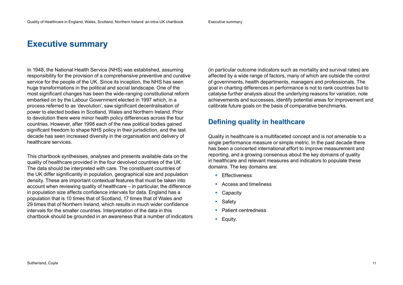# **Executive summary**

In 1948, the National Health Service (NHS) was established, assuming responsibility for the provision of a comprehensive preventive and curative service for the people of the UK. Since its inception, the NHS has seen huge transformations in the political and social landscape. One of the most significant changes has been the wide-ranging constitutional reform embarked on by the Labour Government elected in 1997 which, in a process referred to as 'devolution', saw significant decentralisation of power to elected bodies in Scotland, Wales and Northern Ireland. Prior to devolution there were minor health policy differences across the four countries. However, after 1998 each of the new political bodies gained significant freedom to shape NHS policy in their jurisdiction, and the last decade has seen increased diversity in the organisation and delivery of healthcare services.

This chartbook synthesises, analyses and presents available data on the quality of healthcare provided in the four devolved countries of the UK. The data should be interpreted with care. The constituent countries of the UK differ significantly in population, geographical size and population density. These are important contextual features that must be taken into account when reviewing quality of healthcare – in particular, the difference in population size affects confidence intervals for data. England has a population that is 10 times that of Scotland, 17 times that of Wales and 29 times that of Northern Ireland, which results in much wider confidence intervals for the smaller countries. Interpretation of the data in this chartbook should be grounded in an awareness that a number of indicators

(in particular outcome indicators such as mortality and survival rates) are affected by a wide range of factors, many of which are outside the control of governments, health departments, managers and professionals. The goal in charting differences in performance is not to rank countries but to catalyse further analysis about the underlying reasons for variation, note achievements and successes, identify potential areas for improvement and calibrate future goals on the basis of comparative benchmarks.

# **Defining quality in healthcare**

Quality in healthcare is a multifaceted concept and is not amenable to a single performance measure or simple metric. In the past decade there has been a concerted international effort to improve measurement and reporting, and a growing consensus about the key domains of quality in healthcare and relevant measures and indicators to populate these domains. The key domains are:

- Effectiveness
- Access and timeliness
- Capacity
- Safety
- Patient centredness
- Equity.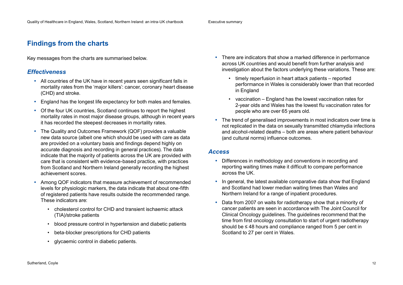Executive summary

# **Findings from the charts**

Key messages from the charts are summarised below.

### *Effectiveness*

- All countries of the UK have in recent years seen significant falls in mortality rates from the 'major killers': cancer, coronary heart disease (CHD) and stroke.
- England has the longest life expectancy for both males and females.
- Of the four UK countries, Scotland continues to report the highest mortality rates in most major disease groups, although in recent years it has recorded the steepest decreases in mortality rates.
- The Quality and Outcomes Framework (QOF) provides a valuable new data source (albeit one which should be used with care as data are provided on a voluntary basis and findings depend highly on accurate diagnosis and recording in general practices). The data indicate that the majority of patients across the UK are provided with care that is consistent with evidence-based practice, with practices from Scotland and Northern Ireland generally recording the highest achievement scores.
- Among QOF indicators that measure achievement of recommended levels for physiologic markers, the data indicate that about one-fifth of registered patients have results outside the recommended range. These indicators are:
	- • cholesterol control for CHD and transient ischaemic attack (TIA)/stroke patients
	- • blood pressure control in hypertension and diabetic patients
	- • beta-blocker prescriptions for CHD patients
	- • glycaemic control in diabetic patients.
- There are indicators that show a marked difference in performance across UK countries and would benefit from further analysis and investigation about the factors underlying these variations. These are:
	- timely reperfusion in heart attack patients reported performance in Wales is considerably lower than that recorded in England
	- • vaccination England has the lowest vaccination rates for 2-year olds and Wales has the lowest flu vaccination rates for people who are over 65 years old.
- The trend of generalised improvements in most indicators over time is not replicated in the data on sexually transmitted chlamydia infections and alcohol-related deaths – both are areas where patient behaviour (and cultural norms) influence outcomes.

### *Access*

- Differences in methodology and conventions in recording and reporting waiting times make it difficult to compare performance across the UK.
- In general, the latest available comparative data show that England and Scotland had lower median waiting times than Wales and Northern Ireland for a range of inpatient procedures.
- Data from 2007 on waits for radiotherapy show that a minority of cancer patients are seen in accordance with The Joint Council for Clinical Oncology guidelines. The guidelines recommend that the time from first oncology consultation to start of urgent radiotherapy should be ≤ 48 hours and compliance ranged from 5 per cent in Scotland to 27 per cent in Wales.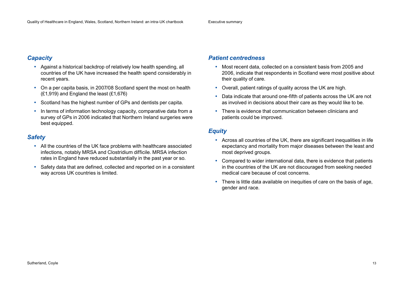### *Capacity*

- Against a historical backdrop of relatively low health spending, all countries of the UK have increased the health spend considerably in recent years.
- On a per capita basis, in 2007/08 Scotland spent the most on health (£1,919) and England the least (£1,676)
- Scotland has the highest number of GPs and dentists per capita.
- In terms of information technology capacity, comparative data from a survey of GPs in 2006 indicated that Northern Ireland surgeries were best equipped.

### *Safety*

- All the countries of the UK face problems with healthcare associated infections, notably MRSA and Clostridium difficile. MRSA infection rates in England have reduced substantially in the past year or so.
- Safety data that are defined, collected and reported on in a consistent way across UK countries is limited.

### *Patient centredness*

- Most recent data, collected on a consistent basis from 2005 and 2006, indicate that respondents in Scotland were most positive about their quality of care.
- Overall, patient ratings of quality across the UK are high.
- Data indicate that around one-fifth of patients across the UK are not as involved in decisions about their care as they would like to be.
- There is evidence that communication between clinicians and patients could be improved.

### *Equity*

- Across all countries of the UK, there are significant inequalities in life expectancy and mortality from major diseases between the least and most deprived groups.
- Compared to wider international data, there is evidence that patients in the countries of the UK are not discouraged from seeking needed medical care because of cost concerns.
- There is little data available on inequities of care on the basis of age, gender and race.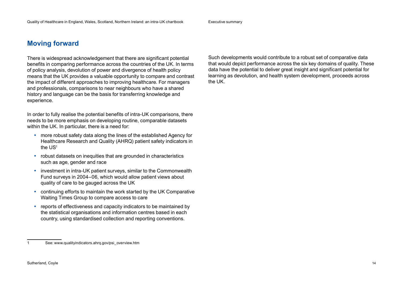Executive summary

# **Moving forward**

There is widespread acknowledgement that there are significant potential benefits in comparing performance across the countries of the UK. In terms of policy analysis, devolution of power and divergence of health policy means that the UK provides a valuable opportunity to compare and contrast the impact of different approaches to improving healthcare. For managers and professionals, comparisons to near neighbours who have a shared history and language can be the basis for transferring knowledge and experience.

In order to fully realise the potential benefits of intra-UK comparisons, there needs to be more emphasis on developing routine, comparable datasets within the UK. In particular, there is a need for:

- more robust safety data along the lines of the established Agency for Healthcare Research and Quality (AHRQ) patient safety indicators in the US<sup>1</sup>
- robust datasets on inequities that are grounded in characteristics such as age, gender and race
- investment in intra-UK patient surveys, similar to the Commonwealth Fund surveys in 2004–06, which would allow patient views about quality of care to be gauged across the UK
- continuing efforts to maintain the work started by the UK Comparative Waiting Times Group to compare access to care
- reports of effectiveness and capacity indicators to be maintained by the statistical organisations and information centres based in each country, using standardised collection and reporting conventions.

Such developments would contribute to a robust set of comparative data that would depict performance across the six key domains of quality. These data have the potential to deliver great insight and significant potential for learning as devolution, and health system development, proceeds across the UK.

<sup>1</sup> See: [www.qualityindicators.ahrq.gov/psi\\_overview.htm](http://www.qualityindicators.ahrq.gov/psi_overview.htm)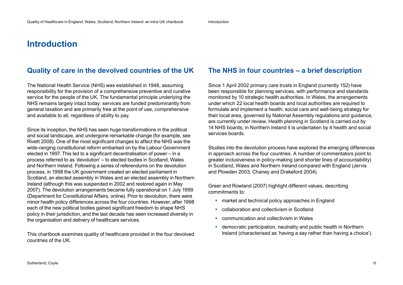# **Introduction**

# **Quality of care in the devolved countries of the UK**

The National Health Service (NHS) was established in 1948, assuming responsibility for the provision of a comprehensive preventive and curative service for the people of the UK. The fundamental principle underlying the NHS remains largely intact today: services are funded predominantly from general taxation and are primarily free at the point of use, comprehensive and available to all, regardless of ability to pay.

Since its inception, the NHS has seen huge transformations in the political and social landscape, and undergone remarkable change (for example, see Rivett 2008). One of the most significant changes to affect the NHS was the wide-ranging constitutional reform embarked on by the Labour Government elected in 1997. This led to a significant decentralisation of power – in a process referred to as 'devolution' – to elected bodies in Scotland, Wales and Northern Ireland. Following a series of referendums on the devolution process, in 1998 the UK government created an elected parliament in Scotland, an elected assembly in Wales and an elected assembly in Northern Ireland (although this was suspended in 2002 and restored again in May 2007). The devolution arrangements became fully operational on 1 July 1999 (Department for Constitutional Affairs, online). Prior to devolution, there were minor health policy differences across the four countries. However, after 1998 each of the new political bodies gained significant freedom to shape NHS policy in their jurisdiction, and the last decade has seen increased diversity in the organisation and delivery of healthcare services.

This chartbook examines quality of healthcare provided in the four devolved countries of the UK.

# **The NHS in four countries – a brief description**

Since 1 April 2002 primary care trusts in England (currently 152) have been responsible for planning services, with performance and standards monitored by 10 strategic health authorities. In Wales, the arrangements under which 22 local health boards and local authorities are required to formulate and implement a health, social care and well-being strategy for their local area, governed by National Assembly regulations and guidance, are currently under review. Health planning in Scotland is carried out by 14 NHS boards; in Northern Ireland it is undertaken by 4 health and social services boards.

Studies into the devolution process have explored the emerging differences in approach across the four countries. A number of commentators point to greater inclusiveness in policy-making (and shorter lines of accountability) in Scotland, Wales and Northern Ireland compared with England (Jervis and Plowden 2003; Chaney and Drakeford 2004).

Greer and Rowland (2007) highlight different values, describing commitments to:

- market and technical policy approaches in England
- collaboration and collectivism in Scotland
- communication and collectivism in Wales
- democratic participation, neutrality and public health in Northern Ireland (characterised as 'having a say rather than having a choice').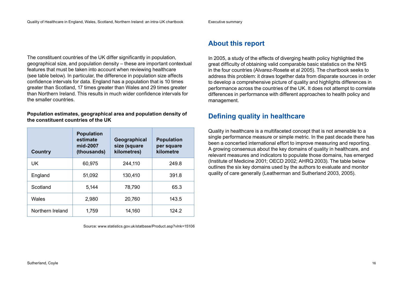#### Executive summary

The constituent countries of the UK differ significantly in population, geographical size, and population density – these are important contextual features that must be taken into account when reviewing healthcare (see table below). In particular, the difference in population size affects confidence intervals for data. England has a population that is 10 times greater than Scotland, 17 times greater than Wales and 29 times greater than Northern Ireland. This results in much wider confidence intervals for the smaller countries.

#### **Population estimates, geographical area and population density of the constituent countries of the UK**

| <b>Country</b>   | <b>Population</b><br>estimate<br>mid-2007<br>(thousands) | Geographical<br>size (square<br>kilometres) | <b>Population</b><br>per square<br>kilometre |
|------------------|----------------------------------------------------------|---------------------------------------------|----------------------------------------------|
| UK.              | 60,975                                                   | 244,110                                     | 249.8                                        |
| England          | 51,092                                                   | 130,410                                     | 391.8                                        |
| Scotland         | 5,144                                                    | 78,790                                      | 65.3                                         |
| Wales            | 2,980                                                    | 20,760                                      | 143.5                                        |
| Northern Ireland | 1,759                                                    | 14,160                                      | 124.2                                        |

Source: [www.statistics.gov.uk/statbase/Product.asp?vlnk=15106](http://www.statistics.gov.uk/statbase/Product.asp?vlnk=15106) 

# **About this report**

In 2005, a study of the effects of diverging health policy highlighted the great difficulty of obtaining valid comparable basic statistics on the NHS in the four countries (Alvarez-Rosete et al 2005). The chartbook seeks to address this problem: it draws together data from disparate sources in order to develop a comprehensive picture of quality and highlights differences in performance across the countries of the UK. It does not attempt to correlate differences in performance with different approaches to health policy and management.

# **Defining quality in healthcare**

Quality in healthcare is a multifaceted concept that is not amenable to a single performance measure or simple metric. In the past decade there has been a concerted international effort to improve measuring and reporting. A growing consensus about the key domains of quality in healthcare, and relevant measures and indicators to populate those domains, has emerged (Institute of Medicine 2001; OECD 2002; AHRQ 2003). The table below outlines the six key domains used by the authors to evaluate and monitor quality of care generally (Leatherman and Sutherland 2003, 2005).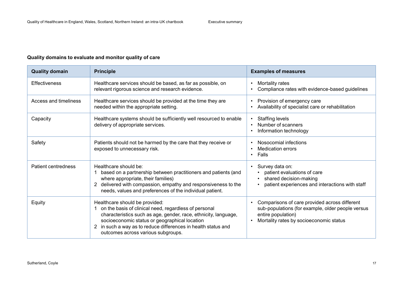#### **Quality domains to evaluate and monitor quality of care**

| <b>Quality domain</b>        | <b>Principle</b>                                                                                                                                                                                                                                                                                                     | <b>Examples of measures</b>                                                                                                                                         |
|------------------------------|----------------------------------------------------------------------------------------------------------------------------------------------------------------------------------------------------------------------------------------------------------------------------------------------------------------------|---------------------------------------------------------------------------------------------------------------------------------------------------------------------|
| <b>Effectiveness</b>         | Healthcare services should be based, as far as possible, on<br>relevant rigorous science and research evidence.                                                                                                                                                                                                      | Mortality rates<br>Compliance rates with evidence-based guidelines                                                                                                  |
| <b>Access and timeliness</b> | Healthcare services should be provided at the time they are<br>needed within the appropriate setting.                                                                                                                                                                                                                | Provision of emergency care<br>Availability of specialist care or rehabilitation                                                                                    |
| Capacity                     | Healthcare systems should be sufficiently well resourced to enable<br>delivery of appropriate services.                                                                                                                                                                                                              | <b>Staffing levels</b><br>$\bullet$<br>Number of scanners<br>$\bullet$<br>Information technology                                                                    |
| Safety                       | Patients should not be harmed by the care that they receive or<br>exposed to unnecessary risk.                                                                                                                                                                                                                       | Nosocomial infections<br><b>Medication errors</b><br>Falls<br>$\bullet$                                                                                             |
| Patient centredness          | Healthcare should be:<br>based on a partnership between practitioners and patients (and<br>where appropriate, their families)<br>delivered with compassion, empathy and responsiveness to the<br>needs, values and preferences of the individual patient.                                                            | Survey data on:<br>$\bullet$<br>patient evaluations of care<br>shared decision-making<br>$\bullet$<br>patient experiences and interactions with staff               |
| Equity                       | Healthcare should be provided:<br>1 on the basis of clinical need, regardless of personal<br>characteristics such as age, gender, race, ethnicity, language,<br>socioeconomic status or geographical location<br>2 in such a way as to reduce differences in health status and<br>outcomes across various subgroups. | Comparisons of care provided across different<br>sub-populations (for example, older people versus<br>entire population)<br>Mortality rates by socioeconomic status |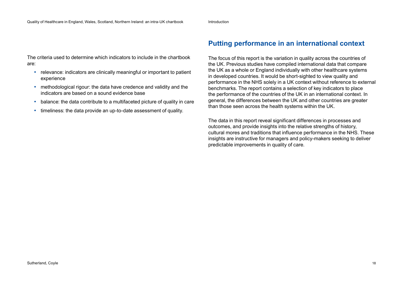Introduction

The criteria used to determine which indicators to include in the chartbook are:

- relevance: indicators are clinically meaningful or important to patient experience
- methodological rigour: the data have credence and validity and the indicators are based on a sound evidence base
- balance: the data contribute to a multifaceted picture of quality in care
- timeliness: the data provide an up-to-date assessment of quality.

# **Putting performance in an international context**

The focus of this report is the variation in quality across the countries of the UK. Previous studies have compiled international data that compare the UK as a whole or England individually with other healthcare systems in developed countries. It would be short-sighted to view quality and performance in the NHS solely in a UK context without reference to external benchmarks. The report contains a selection of key indicators to place the performance of the countries of the UK in an international context. In general, the differences between the UK and other countries are greater than those seen across the health systems within the UK.

The data in this report reveal significant differences in processes and outcomes, and provide insights into the relative strengths of history, cultural mores and traditions that influence performance in the NHS. These insights are instructive for managers and policy-makers seeking to deliver predictable improvements in quality of care.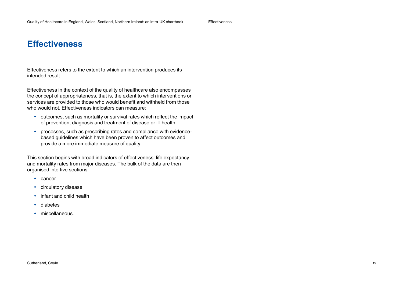Effectiveness refers to the extent to which an intervention produces its intended result.

Effectiveness in the context of the quality of healthcare also encompasses the concept of appropriateness, that is, the extent to which interventions or services are provided to those who would benefit and withheld from those who would not. Effectiveness indicators can measure:

- outcomes, such as mortality or survival rates which reflect the impact of prevention, diagnosis and treatment of disease or ill-health
- processes, such as prescribing rates and compliance with evidencebased guidelines which have been proven to affect outcomes and provide a more immediate measure of quality.

This section begins with broad indicators of effectiveness: life expectancy and mortality rates from major diseases. The bulk of the data are then organised into five sections:

- cancer
- circulatory disease
- infant and child health
- diabetes
- miscellaneous.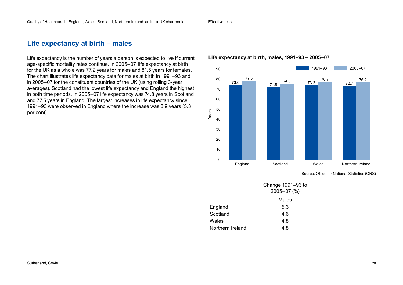# **Life expectancy at birth – males**

Life expectancy is the number of years a person is expected to live if current age-specific mortality rates continue. In 2005–07, life expectancy at birth for the UK as a whole was 77.2 years for males and 81.5 years for females. The chart illustrates life expectancy data for males at birth in 1991–93 and in 2005–07 for the constituent countries of the UK (using rolling 3-year averages). Scotland had the lowest life expectancy and England the highest in both time periods. In 2005–07 life expectancy was 74.8 years in Scotland and 77.5 years in England. The largest increases in life expectancy since 1991–93 were observed in England where the increase was 3.9 years (5.3 per cent).

### **Life expectancy at birth, males, 1991–93 – 2005–07**



Source: Office for National Statistics (ONS)

|                  | Change 1991-93 to |
|------------------|-------------------|
|                  | 2005-07 (%)       |
|                  | Males             |
| England          | 5.3               |
| Scotland         | 4.6               |
| Wales            | 4.8               |
| Northern Ireland | 4.8               |
|                  |                   |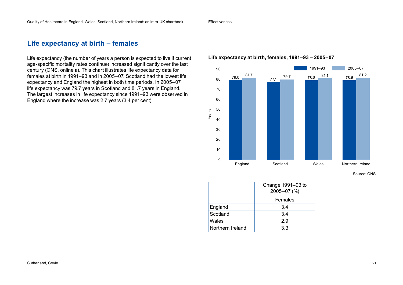# **Life expectancy at birth – females**

Life expectancy (the number of years a person is expected to live if current age-specific mortality rates continue) increased significantly over the last century (ONS, online a). This chart illustrates life expectancy data for females at birth in 1991–93 and in 2005–07. Scotland had the lowest life expectancy and England the highest in both time periods. In 2005–07 life expectancy was 79.7 years in Scotland and 81.7 years in England. The largest increases in life expectancy since 1991–93 were observed in England where the increase was 2.7 years (3.4 per cent).

#### **Life expectancy at birth, females, 1991–93 – 2005–07**



Source: ONS

|                  | Change 1991-93 to<br>2005-07 (%) |
|------------------|----------------------------------|
|                  | Females                          |
| England          | 3.4                              |
|                  |                                  |
| Scotland         | 3.4                              |
| Wales            | 2.9                              |
| Northern Ireland | 3.3                              |
|                  |                                  |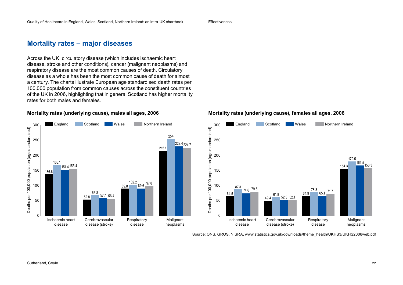# **Mortality rates – major diseases**

Across the UK, circulatory disease (which includes ischaemic heart disease, stroke and other conditions), cancer (malignant neoplasms) and respiratory disease are the most common causes of death. Circulatory disease as a whole has been the most common cause of death for almost a century. The charts illustrate European age standardised death rates per 100,000 population from common causes across the constituent countries of the UK in 2006, highlighting that in general Scotland has higher mortality rates for both males and females.

#### **Mortality rates (underlying cause), males all ages, 2006**



#### **Mortality rates (underlying cause), females all ages, 2006**



Source: ONS, GROS, NISRA, [www.statistics.gov.uk/downloads/theme\\_health/UKHS3/UKHS2008web.pdf](http://www.statistics.gov.uk/downloads/theme_health/UKHS3/UKHS2008web.pdf)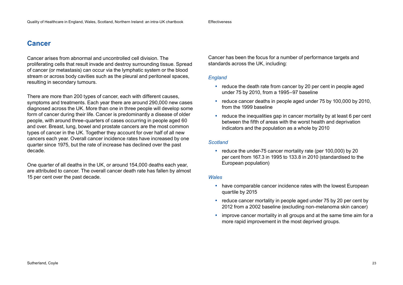# **Cancer**

Cancer arises from abnormal and uncontrolled cell division. The proliferating cells that result invade and destroy surrounding tissue. Spread of cancer (or metastasis) can occur via the lymphatic system or the blood stream or across body cavities such as the pleural and peritoneal spaces, resulting in secondary tumours.

There are more than 200 types of cancer, each with different causes, symptoms and treatments. Each year there are around 290,000 new cases diagnosed across the UK. More than one in three people will develop some form of cancer during their life. Cancer is predominantly a disease of older people, with around three-quarters of cases occurring in people aged 60 and over. Breast, lung, bowel and prostate cancers are the most common types of cancer in the UK. Together they account for over half of all new cancers each year. Overall cancer incidence rates have increased by one quarter since 1975, but the rate of increase has declined over the past decade.

One quarter of all deaths in the UK, or around 154,000 deaths each year, are attributed to cancer. The overall cancer death rate has fallen by almost 15 per cent over the past decade.

Cancer has been the focus for a number of performance targets and standards across the UK, including:

#### *England*

- reduce the death rate from cancer by 20 per cent in people aged under 75 by 2010, from a 1995–97 baseline
- reduce cancer deaths in people aged under 75 by 100,000 by 2010, from the 1999 baseline
- reduce the inequalities gap in cancer mortality by at least 6 per cent between the fifth of areas with the worst health and deprivation indicators and the population as a whole by 2010

#### *Scotland*

• reduce the under-75 cancer mortality rate (per 100,000) by 20 per cent from 167.3 in 1995 to 133.8 in 2010 (standardised to the European population)

#### *Wales*

- have comparable cancer incidence rates with the lowest European quartile by 2015
- reduce cancer mortality in people aged under 75 by 20 per cent by 2012 from a 2002 baseline (excluding non-melanoma skin cancer)
- improve cancer mortality in all groups and at the same time aim for a more rapid improvement in the most deprived groups.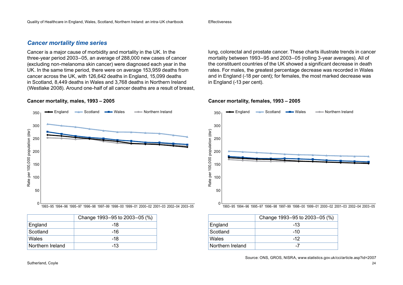### *Cancer mortality time series*

Cancer is a major cause of morbidity and mortality in the UK. In the three-year period 2003–05, an average of 288,000 new cases of cancer (excluding non-melanoma skin cancer) were diagnosed each year in the UK. In the same time period, there were on average 153,959 deaths from cancer across the UK, with 126,642 deaths in England, 15,099 deaths in Scotland, 8,449 deaths in Wales and 3,768 deaths in Northern Ireland (Westlake 2008). Around one-half of all cancer deaths are a result of breast,

#### **Cancer mortality, males, 1993 – 2005**



|                  | Change 1993-95 to 2003-05 (%) |
|------------------|-------------------------------|
| England          | -18                           |
| Scotland         | -16                           |
| Wales            | -18                           |
| Northern Ireland | $-13$                         |

lung, colorectal and prostate cancer. These charts illustrate trends in cancer mortality between 1993–95 and 2003–05 (rolling 3-year averages). All of the constituent countries of the UK showed a significant decrease in death rates. For males, the greatest percentage decrease was recorded in Wales and in England (-18 per cent); for females, the most marked decrease was in England (-13 per cent).

#### **Cancer mortality, females, 1993 – 2005**



|                  | Change 1993-95 to 2003-05 (%) |
|------------------|-------------------------------|
| England          | $-13$                         |
| Scotland         | $-10$                         |
| Wales            | $-12$                         |
| Northern Ireland | -7                            |

Source: ONS, GROS, NISRA, [www.statistics.gov.uk/cci/article.asp?id=2007](http://www.statistics.gov.uk/cci/article.asp?id=2007)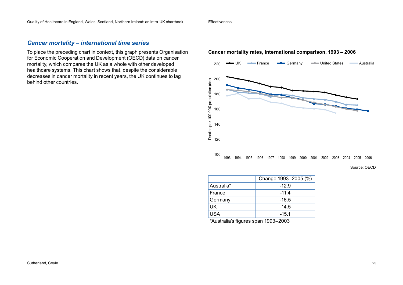### *Cancer mortality – international time series*

To place the preceding chart in context, this graph presents Organisation for Economic Cooperation and Development (OECD) data on cancer mortality, which compares the UK as a whole with other developed healthcare systems. This chart shows that, despite the considerable decreases in cancer mortality in recent years, the UK continues to lag behind other countries.

#### **Cancer mortality rates, international comparison, 1993 – 2006**



Source: OECD

|            | Change 1993-2005 (%) |
|------------|----------------------|
| Australia* | $-12.9$              |
| France     | $-11.4$              |
| Germany    | $-16.5$              |
| UK         | $-14.5$              |
| USA        | $-15.1$              |

\*Australia's figures span 1993–2003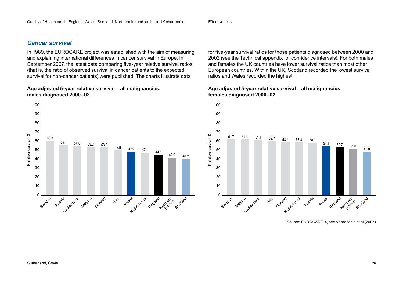### *Cancer survival*

In 1989, the EUROCARE project was established with the aim of measuring and explaining international differences in cancer survival in Europe. In September 2007, the latest data comparing five-year relative survival ratios (that is, the ratio of observed survival in cancer patients to the expected survival for non-cancer patients) were published. The charts illustrate data

#### **Age adjusted 5-year relative survival – all malignancies, males diagnosed 2000–02**



for five-year survival ratios for those patients diagnosed between 2000 and 2002 (see the Technical appendix for confidence intervals). For both males and females the UK countries have lower survival ratios than most other European countries. Within the UK, Scotland recorded the lowest survival ratios and Wales recorded the highest.

#### **Age adjusted 5-year relative survival – all malignancies, females diagnosed 2000–02**



Source: EUROCARE-4, see Verdecchia et al (2007)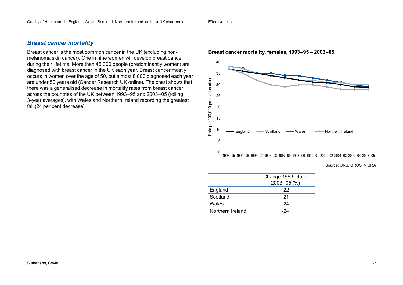#### *Breast cancer mortality*

Breast cancer is the most common cancer in the UK (excluding nonmelanoma skin cancer). One in nine women will develop breast cancer during their lifetime. More than 45,000 people (predominantly women) are diagnosed with breast cancer in the UK each year. Breast cancer mostly occurs in women over the age of 50, but almost 8,000 diagnosed each year are under 50 years old (Cancer Research UK online). The chart shows that there was a generalised decrease in mortality rates from breast cancer across the countries of the UK between 1993–95 and 2003–05 (rolling 3-year averages), with Wales and Northern Ireland recording the greatest fall (24 per cent decrease).



#### **Breast cancer mortality, females, 1993–95 – 2003–05**

Source: ONS, GROS, NISRA

|                  | Change 1993-95 to<br>$2003 - 05$ (%) |
|------------------|--------------------------------------|
| England          | -22                                  |
| Scotland         | $-21$                                |
| Wales            | -24                                  |
| Northern Ireland | -24                                  |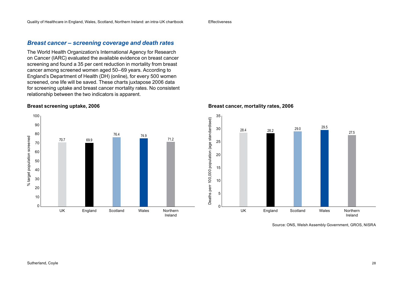### *Breast cancer – screening coverage and death rates*

The World Health Organization's International Agency for Research on Cancer (IARC) evaluated the available evidence on breast cancer screening and found a 35 per cent reduction in mortality from breast cancer among screened women aged 50–69 years. According to England's Department of Health (DH) (online), for every 500 women screened, one life will be saved. These charts juxtapose 2006 data for screening uptake and breast cancer mortality rates. No consistent relationship between the two indicators is apparent.

#### **Breast screening uptake, 2006**



#### **Breast cancer, mortality rates, 2006**



Source: ONS, Welsh Assembly Government, GROS, NISRA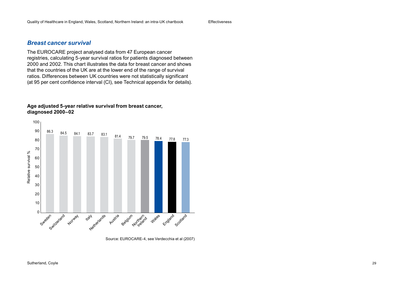### *Breast cancer survival*

The EUROCARE project analysed data from 47 European cancer registries, calculating 5-year survival ratios for patients diagnosed between 2000 and 2002. This chart illustrates the data for breast cancer and shows that the countries of the UK are at the lower end of the range of survival ratios. Differences between UK countries were not statistically significant (at 95 per cent confidence interval (CI), see Technical appendix for details).

#### **Age adjusted 5-year relative survival from breast cancer, diagnosed 2000–02**



Source: EUROCARE-4, see Verdecchia et al (2007)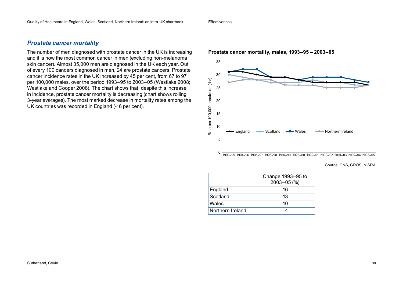#### *Prostate cancer mortality*

The number of men diagnosed with prostate cancer in the UK is increasing and it is now the most common cancer in men (excluding non-melanoma skin cancer). Almost 35,000 men are diagnosed in the UK each year. Out of every 100 cancers diagnosed in men, 24 are prostate cancers. Prostate cancer incidence rates in the UK increased by 45 per cent, from 67 to 97 per 100,000 males, over the period 1993–95 to 2003–05 (Westlake 2008; Westlake and Cooper 2008). The chart shows that, despite this increase in incidence, prostate cancer mortality is decreasing (chart shows rolling 3-year averages). The most marked decrease in mortality rates among the UK countries was recorded in England (-16 per cent).



#### **Prostate cancer mortality, males, 1993–95 – 2003–05**

Source: ONS, GROS, NISRA

|                  | Change 1993-95 to<br>$2003 - 05$ (%) |
|------------------|--------------------------------------|
| England          | -16                                  |
| Scotland         | $-13$                                |
| Wales            | $-10$                                |
| Northern Ireland |                                      |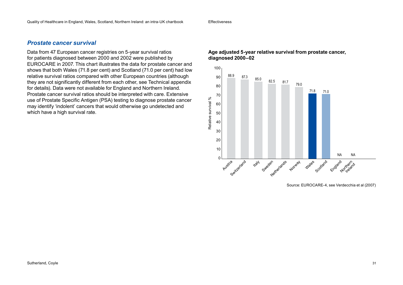### *Prostate cancer survival*

Data from 47 European cancer registries on 5-year survival ratios for patients diagnosed between 2000 and 2002 were published by EUROCARE in 2007. This chart illustrates the data for prostate cancer and shows that both Wales (71.8 per cent) and Scotland (71.0 per cent) had low relative survival ratios compared with other European countries (although they are not significantly different from each other, see Technical appendix for details). Data were not available for England and Northern Ireland. Prostate cancer survival ratios should be interpreted with care. Extensive use of Prostate Specific Antigen (PSA) testing to diagnose prostate cancer may identify 'indolent' cancers that would otherwise go undetected and which have a high survival rate.

#### **Age adjusted 5-year relative survival from prostate cancer, diagnosed 2000–02**



Source: EUROCARE-4, see Verdecchia et al (2007)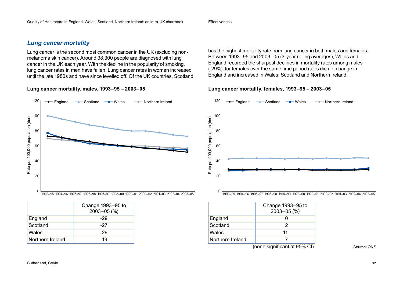### *Lung cancer mortality*

Lung cancer is the second most common cancer in the UK (excluding nonmelanoma skin cancer). Around 38,300 people are diagnosed with lung cancer in the UK each year. With the decline in the popularity of smoking, lung cancer rates in men have fallen. Lung cancer rates in women increased until the late 1980s and have since levelled off. Of the UK countries, Scotland

**Lung cancer mortality, males, 1993–95 – 2003–05**



|                  | Change 1993-95 to |
|------------------|-------------------|
|                  | $2003 - 05$ (%)   |
| England          | -29               |
| Scotland         | -27               |
| Wales            | -29               |
| Northern Ireland | -19               |

has the highest mortality rate from lung cancer in both males and females. Between 1993–95 and 2003–05 (3-year rolling averages), Wales and England recorded the sharpest declines in mortality rates among males (-29%); for females over the same time period rates did not change in England and increased in Wales, Scotland and Northern Ireland.

**Lung cancer mortality, females, 1993–95 – 2003–05**



|                  | Change 1993-95 to<br>$2003 - 05$ (%) |
|------------------|--------------------------------------|
| England          |                                      |
| Scotland         |                                      |
| Wales            | 11                                   |
| Northern Ireland |                                      |
|                  | (none significant at 95% CI)         |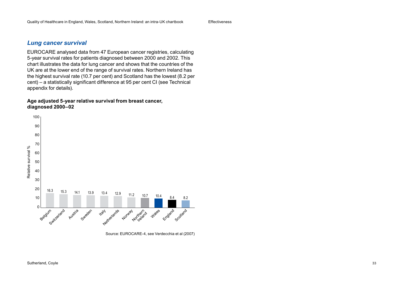### *Lung cancer survival*

EUROCARE analysed data from 47 European cancer registries, calculating 5-year survival rates for patients diagnosed between 2000 and 2002. This chart illustrates the data for lung cancer and shows that the countries of the UK are at the lower end of the range of survival rates. Northern Ireland has the highest survival rate (10.7 per cent) and Scotland has the lowest (8.2 per cent) – a statistically significant difference at 95 per cent CI (see Technical appendix for details).

#### **Age adjusted 5-year relative survival from breast cancer, diagnosed 2000–02**



Source: EUROCARE-4, see Verdecchia et al (2007)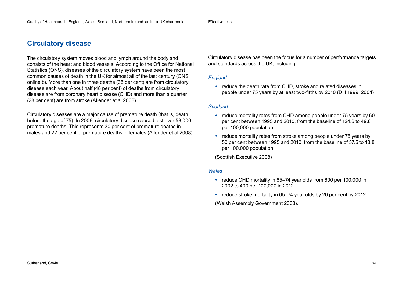# **Circulatory disease**

The circulatory system moves blood and lymph around the body and consists of the heart and blood vessels. According to the Office for National Statistics (ONS), diseases of the circulatory system have been the most common causes of death in the UK for almost all of the last century (ONS online b). More than one in three deaths (35 per cent) are from circulatory disease each year. About half (48 per cent) of deaths from circulatory disease are from coronary heart disease (CHD) and more than a quarter (28 per cent) are from stroke (Allender et al 2008).

Circulatory diseases are a major cause of premature death (that is, death before the age of 75). In 2006, circulatory disease caused just over 53,000 premature deaths. This represents 30 per cent of premature deaths in males and 22 per cent of premature deaths in females (Allender et al 2008). Circulatory disease has been the focus for a number of performance targets and standards across the UK, including:

#### *England*

• reduce the death rate from CHD, stroke and related diseases in people under 75 years by at least two-fifths by 2010 (DH 1999, 2004)

#### *Scotland*

- reduce mortality rates from CHD among people under 75 years by 60 per cent between 1995 and 2010, from the baseline of 124.6 to 49.8 per 100,000 population
- reduce mortality rates from stroke among people under 75 years by 50 per cent between 1995 and 2010, from the baseline of 37.5 to 18.8 per 100,000 population

(Scottish Executive 2008)

#### *Wales*

- reduce CHD mortality in 65–74 year olds from 600 per 100,000 in 2002 to 400 per 100,000 in 2012
- reduce stroke mortality in 65–74 year olds by 20 per cent by 2012

(Welsh Assembly Government 2008).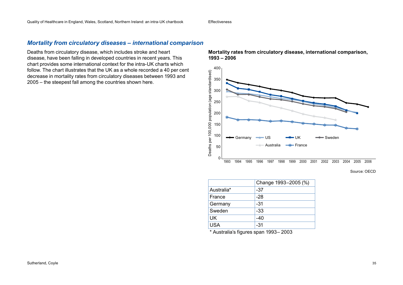### *Mortality from circulatory diseases – international comparison*

Deaths from circulatory disease, which includes stroke and heart disease, have been falling in developed countries in recent years. This chart provides some international context for the intra-UK charts which follow. The chart illustrates that the UK as a whole recorded a 40 per cent decrease in mortality rates from circulatory diseases between 1993 and 2005 – the steepest fall among the countries shown here.

**Mortality rates from circulatory disease, international comparison, 1993 – 2006**



Source: OECD

|            | Change 1993-2005 (%) |
|------------|----------------------|
| Australia* | -37                  |
| France     | $-28$                |
| Germany    | -31                  |
| Sweden     | -33                  |
| UK         | $-40$                |
| <b>USA</b> | -31                  |

\* Australia's figures span 1993– 2003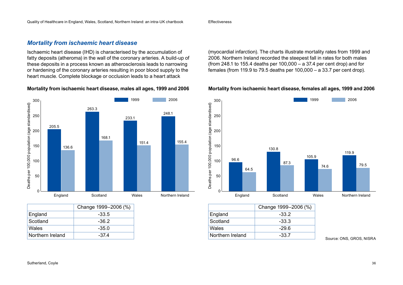### *Mortality from ischaemic heart disease*

Ischaemic heart disease (IHD) is characterised by the accumulation of fatty deposits (atheroma) in the wall of the coronary arteries. A build-up of these deposits in a process known as atherosclerosis leads to narrowing or hardening of the coronary arteries resulting in poor blood supply to the heart muscle. Complete blockage or occlusion leads to a heart attack

#### **Mortality from ischaemic heart disease, males all ages, 1999 and 2006**



|                  | Change 1999-2006 (%) |
|------------------|----------------------|
| England          | -33.5                |
| Scotland         | $-36.2$              |
| Wales            | $-35.0$              |
| Northern Ireland | -374                 |

(myocardial infarction). The charts illustrate mortality rates from 1999 and 2006. Northern Ireland recorded the steepest fall in rates for both males (from 248.1 to 155.4 deaths per 100,000 – a 37.4 per cent drop) and for females (from 119.9 to 79.5 deaths per 100,000 – a 33.7 per cent drop).

#### **Mortality from ischaemic heart disease, females all ages, 1999 and 2006**



|                  | Change 1999-2006 (%) |
|------------------|----------------------|
| England          | $-33.5$              |
| Scotland         | $-36.2$              |
| Wales            | $-35.0$              |
| Northern Ireland | -37.4                |
|                  |                      |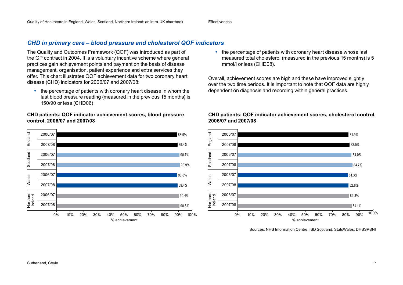# *CHD in primary care – blood pressure and cholesterol QOF indicators*

The Quality and Outcomes Framework (QOF) was introduced as part of the GP contract in 2004. It is a voluntary incentive scheme where general practices gain achievement points and payment on the basis of disease management, organisation, patient experience and extra services they offer. This chart illustrates QOF achievement data for two coronary heart disease (CHD) indicators for 2006/07 and 2007/08:

• the percentage of patients with coronary heart disease in whom the last blood pressure reading (measured in the previous 15 months) is 150/90 or less (CHD06)

#### **CHD patients: QOF indicator achievement scores, blood pressure control, 2006/07 and 2007/08**



• the percentage of patients with coronary heart disease whose last measured total cholesterol (measured in the previous 15 months) is 5 mmol/l or less (CHD08).

Overall, achievement scores are high and these have improved slightly over the two time periods. It is important to note that QOF data are highly dependent on diagnosis and recording within general practices.



#### **CHD patients: QOF indicator achievement scores, cholesterol control, 2006/07 and 2007/08**

Sources: NHS Information Centre, ISD Scotland, StatsWales, DHSSPSNI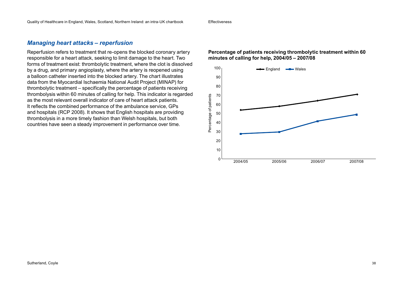#### *Managing heart attacks – reperfusion*

Reperfusion refers to treatment that re-opens the blocked coronary artery responsible for a heart attack, seeking to limit damage to the heart. Two forms of treatment exist: thrombolytic treatment, where the clot is dissolved by a drug, and primary angioplasty, where the artery is reopened using a balloon catheter inserted into the blocked artery. The chart illustrates data from the Myocardial Ischaemia National Audit Project (MINAP) for thrombolytic treatment – specifically the percentage of patients receiving thrombolysis within 60 minutes of calling for help. This indicator is regarded as the most relevant overall indicator of care of heart attack patients. It reflects the combined performance of the ambulance service, GPs and hospitals (RCP 2008). It shows that English hospitals are providing thrombolysis in a more timely fashion than Welsh hospitals, but both countries have seen a steady improvement in performance over time.

#### **Percentage of patients receiving thrombolytic treatment within 60 minutes of calling for help, 2004/05 – 2007/08**

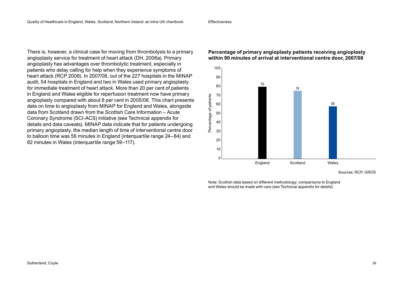There is, however, a clinical case for moving from thrombolysis to a primary angioplasty service for treatment of heart attack (DH, 2006a). Primary angioplasty has advantages over thrombolytic treatment, especially in patients who delay calling for help when they experience symptoms of heart attack (RCP 2008). In 2007/08, out of the 227 hospitals in the MINAP audit, 54 hospitals in England and two in Wales used primary angioplasty for immediate treatment of heart attack. More than 20 per cent of patients in England and Wales eligible for reperfusion treatment now have primary angioplasty compared with about 8 per cent in 2005/06. This chart presents data on time to angioplasty from MINAP for England and Wales, alongside data from Scotland drawn from the Scottish Care Information – Acute Coronary Syndrome (SCI-ACS) initiative (see Technical appendix for details and data caveats). MINAP data indicate that for patients undergoing primary angioplasty, the median length of time of interventional centre door to balloon time was 56 minutes in England (interquartile range 24–84) and 82 minutes in Wales (interquartile range 59–117).

#### **Percentage of primary angioplasty patients receiving angioplasty within 90 minutes of arrival at interventional centre door, 2007/08**



Sources: RCP, GROS

Note: Scottish data based on different methodology; comparisons to England and Wales should be made with care (see Technical appendix for details)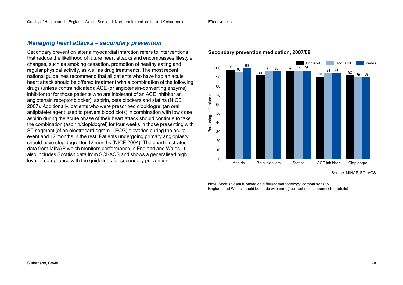#### *Managing heart attacks – secondary prevention*

Secondary prevention after a myocardial infarction refers to interventions that reduce the likelihood of future heart attacks and encompasses lifestyle changes, such as smoking cessation, promotion of healthy eating and regular physical activity, as well as drug treatments. The most recent national guidelines recommend that all patients who have had an acute heart attack should be offered treatment with a combination of the following drugs (unless contraindicated): ACE (or angiotensin-converting enzyme) inhibitor (or for those patients who are intolerant of an ACE inhibitor an angiotensin receptor blocker), aspirin, beta blockers and statins (NICE 2007). Additionally, patients who were prescribed clopidogrel (an oral antiplatelet agent used to prevent blood clots) in combination with low dose aspirin during the acute phase of their heart attack should continue to take the combination (aspirin/clopidogrel) for four weeks in those presenting with ST-segment (of on electrocardiogram – ECG) elevation during the acute event and 12 months in the rest. Patients undergoing primary angioplasty should have clopidogrel for 12 months (NICE 2004). The chart illustrates data from MINAP which monitors performance in England and Wales. It also includes Scottish data from SCI-ACS and shows a generalised high level of compliance with the guidelines for secondary prevention.

#### England Scotland Wales 99 96 96 96 97 97 97 94 94 100 98 96 95 **96 96 96 96 97 97 98** 92 90 92 89 89 90 80 Percentage of patients 70 Percentage of patients 60 50 40 30 20 10  $\Omega$ Aspirin Beta-blockers Statins ACE inhibitor Clopidogrel

#### **Secondary prevention medication, 2007/08**

Source: MINAP, SCI-ACS

Note: Scottish data is based on different methodology; comparisons to England and Wales should be made with care (see Technical appendix for details)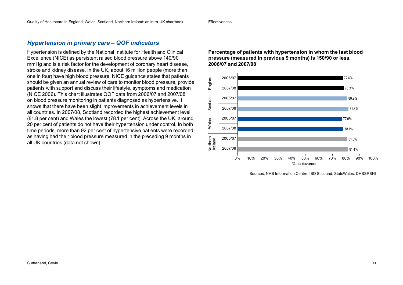#### *Hypertension in primary care – QOF indicators*

Hypertension is defined by the National Institute for Health and Clinical Excellence (NICE) as persistent raised blood pressure above 140/90 mmHg and is a risk factor for the development of coronary heart disease, stroke and kidney disease. In the UK, about 16 million people (more than one in four) have high blood pressure. NICE guidance states that patients should be given an annual review of care to monitor blood pressure, provide patients with support and discuss their lifestyle, symptoms and medication (NICE 2006). This chart illustrates QOF data from 2006/07 and 2007/08 on blood pressure monitoring in patients diagnosed as hypertensive. It shows that there have been slight improvements in achievement levels in all countries. In 2007/08, Scotland recorded the highest achievement level (81.8 per cent) and Wales the lowest (78.1 per cent). Across the UK, around 20 per cent of patients do not have their hypertension under control. In both time periods, more than 92 per cent of hypertensive patients were recorded as having had their blood pressure measured in the preceding 9 months in all UK countries (data not shown).

**Percentage of patients with hypertension in whom the last blood pressure (measured in previous 9 months) is 150/90 or less, 2006/07 and 2007/08**



Sources: NHS Information Centre, ISD Scotland, StatsWales, DHSSPSNI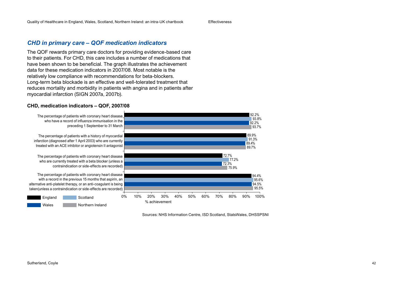### *CHD in primary care – QOF medication indicators*

The QOF rewards primary care doctors for providing evidence-based care to their patients. For CHD, this care includes a number of medications that have been shown to be beneficial. The graph illustrates the achievement data for these medication indicators in 2007/08. Most notable is the relatively low compliance with recommendations for beta-blockers. Long-term beta blockade is an effective and well-tolerated treatment that reduces mortality and morbidity in patients with angina and in patients after myocardial infarction (SIGN 2007a, 2007b).

#### **CHD, medication indicators – QOF, 2007/08**



Sources: NHS Information Centre, ISD Scotland, StatsWales, DHSSPSNI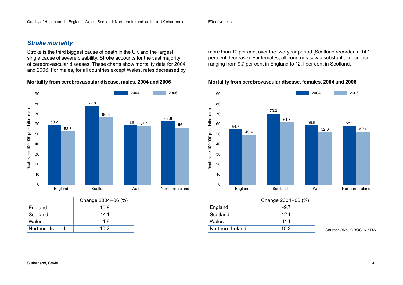### *Stroke mortality*

Stroke is the third biggest cause of death in the UK and the largest single cause of severe disability. Stroke accounts for the vast majority of cerebrovascular diseases. These charts show mortality data for 2004 and 2006. For males, for all countries except Wales, rates decreased by

**Mortality from cerebrovascular disease, males, 2004 and 2006**



|                  | Change 2004-06 (%) |
|------------------|--------------------|
| England          | $-10.8$            |
| Scotland         | -14 1              |
| Wales            | $-1.9$             |
| Northern Ireland | -10.2              |

more than 10 per cent over the two-year period (Scotland recorded a 14.1 per cent decrease). For females, all countries saw a substantial decrease ranging from 9.7 per cent in England to 12.1 per cent in Scotland.

#### **Mortality from cerebrovascular disease, females, 2004 and 2006**



|                  | Change 2004-06 (%) |
|------------------|--------------------|
| England          | -97                |
| Scotland         | -12 1              |
| Wales            | $-11.1$            |
| Northern Ireland | $-10.3$            |

Source: ONS, GROS, NISRA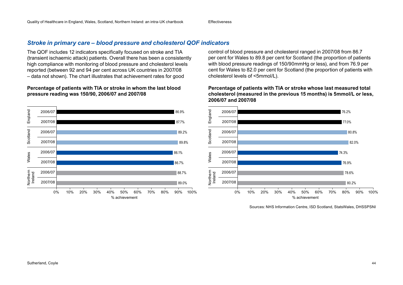## *Stroke in primary care – blood pressure and cholesterol QOF indicators*

The QOF includes 12 indicators specifically focused on stroke and TIA (transient ischaemic attack) patients. Overall there has been a consistently high compliance with monitoring of blood pressure and cholesterol levels reported (between 92 and 94 per cent across UK countries in 2007/08 – data not shown). The chart illustrates that achievement rates for good

#### **Percentage of patients with TIA or stroke in whom the last blood pressure reading was 150/90, 2006/07 and 2007/08**



control of blood pressure and cholesterol ranged in 2007/08 from 86.7 per cent for Wales to 89.8 per cent for Scotland (the proportion of patients with blood pressure readings of 150/90mmHg or less), and from 76.9 per cent for Wales to 82.0 per cent for Scotland (the proportion of patients with cholesterol levels of <5mmol/L).

#### **Percentage of patients with TIA or stroke whose last measured total cholesterol (measured in the previous 15 months) is 5mmol/L or less, 2006/07 and 2007/08**



Sources: NHS Information Centre, ISD Scotland, StatsWales, DHSSPSNI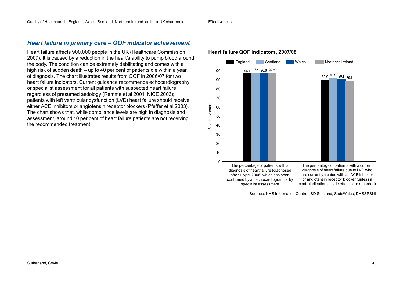### *Heart failure in primary care – QOF indicator achievement*

Heart failure affects 900,000 people in the UK (Healthcare Commission 2007). It is caused by a reduction in the heart's ability to pump blood around the body. The condition can be extremely debilitating and comes with a high risk of sudden death – up to 40 per cent of patients die within a year of diagnosis. The chart illustrates results from QOF in 2006/07 for two heart failure indicators. Current guidance recommends echocardiography or specialist assessment for all patients with suspected heart failure, regardless of presumed aetiology (Remme et al 2001; NICE 2003); patients with left ventricular dysfunction (LVD) heart failure should receive either ACE inhibitors or angiotensin receptor blockers (Pfeffer et al 2003). The chart shows that, while compliance levels are high in diagnosis and assessment, around 10 per cent of heart failure patients are not receiving the recommended treatment.

#### **Heart failure QOF indicators, 2007/08**



Sources: NHS Information Centre, ISD Scotland, StatsWales, DHSSPSNI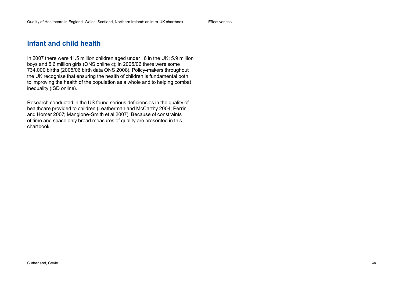## **Infant and child health**

In 2007 there were 11.5 million children aged under 16 in the UK: 5.9 million boys and 5.6 million girls (ONS online c); in 2005/06 there were some 734,000 births (2005/06 birth data ONS 2008). Policy-makers throughout the UK recognise that ensuring the health of children is fundamental both to improving the health of the population as a whole and to helping combat inequality (ISD online).

Research conducted in the US found serious deficiencies in the quality of healthcare provided to children (Leatherman and McCarthy 2004; Perrin and Homer 2007; Mangione-Smith et al 2007). Because of constraints of time and space only broad measures of quality are presented in this chartbook.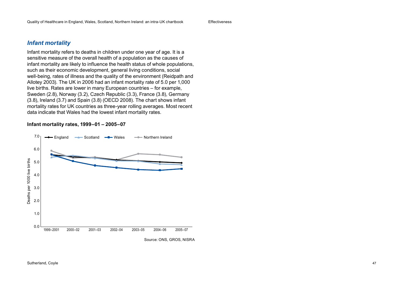#### *Infant mortality*

Infant mortality refers to deaths in children under one year of age. It is a sensitive measure of the overall health of a population as the causes of infant mortality are likely to influence the health status of whole populations, such as their economic development, general living conditions, social well-being, rates of illness and the quality of the environment (Reidpath and Allotey 2003). The UK in 2006 had an infant mortality rate of 5.0 per 1,000 live births. Rates are lower in many European countries – for example, Sweden (2.8), Norway (3.2), Czech Republic (3.3), France (3.8), Germany (3.8), Ireland (3.7) and Spain (3.8) (OECD 2008). The chart shows infant mortality rates for UK countries as three-year rolling averages. Most recent data indicate that Wales had the lowest infant mortality rates.

#### **Infant mortality rates, 1999–01 – 2005–07**

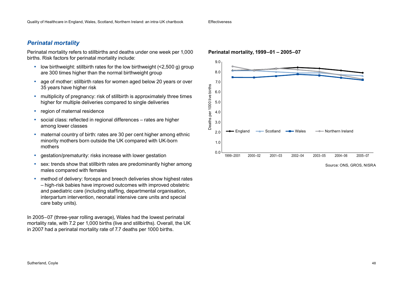### *Perinatal mortality*

Perinatal mortality refers to stillbirths and deaths under one week per 1,000 births. Risk factors for perinatal mortality include:

- low birthweight: stillbirth rates for the low birthweight (<2,500 g) group are 300 times higher than the normal birthweight group
- age of mother: stillbirth rates for women aged below 20 years or over 35 years have higher risk
- multiplicity of pregnancy: risk of stillbirth is approximately three times higher for multiple deliveries compared to single deliveries
- region of maternal residence
- social class: reflected in regional differences rates are higher among lower classes
- maternal country of birth: rates are 30 per cent higher among ethnic minority mothers born outside the UK compared with UK-born mothers
- gestation/prematurity: risks increase with lower gestation
- sex: trends show that stillbirth rates are predominantly higher among males compared with females
- method of delivery: forceps and breech deliveries show highest rates – high-risk babies have improved outcomes with improved obstetric and paediatric care (including staffing, departmental organisation, interpartum intervention, neonatal intensive care units and special care baby units).

In 2005–07 (three-year rolling average), Wales had the lowest perinatal mortality rate, with 7.2 per 1,000 births (live and stillbirths). Overall, the UK in 2007 had a perinatal mortality rate of 7.7 deaths per 1000 births.



#### **Perinatal mortality, 1999–01 – 2005–07**

Source: ONS, GROS, NISRA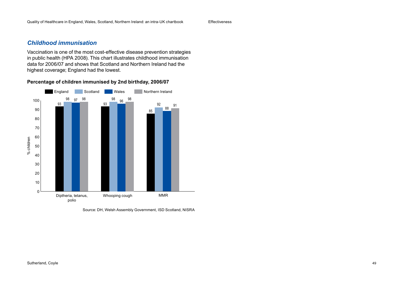### *Childhood immunisation*

Vaccination is one of the most cost-effective disease prevention strategies in public health (HPA 2008). This chart illustrates childhood immunisation data for 2006/07 and shows that Scotland and Northern Ireland had the highest coverage; England had the lowest.





Source: DH, Welsh Assembly Government, ISD Scotland, NISRA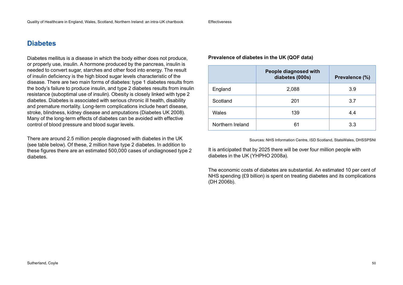## **Diabetes**

Diabetes mellitus is a disease in which the body either does not produce, or properly use, insulin. A hormone produced by the pancreas, insulin is needed to convert sugar, starches and other food into energy. The result of insulin deficiency is the high blood sugar levels characteristic of the disease. There are two main forms of diabetes: type 1 diabetes results from the body's failure to produce insulin, and type 2 diabetes results from insulin resistance (suboptimal use of insulin). Obesity is closely linked with type 2 diabetes. Diabetes is associated with serious chronic ill health, disability and premature mortality. Long-term complications include heart disease, stroke, blindness, kidney disease and amputations (Diabetes UK 2008). Many of the long-term effects of diabetes can be avoided with effective control of blood pressure and blood sugar levels.

There are around 2.5 million people diagnosed with diabetes in the UK (see table below). Of these, 2 million have type 2 diabetes. In addition to these figures there are an estimated 500,000 cases of undiagnosed type 2 diabetes.

#### **Prevalence of diabetes in the UK (QOF data)**

|                  | People diagnosed with<br>diabetes (000s) | Prevalence (%) |
|------------------|------------------------------------------|----------------|
| England          | 2,088                                    | 3.9            |
| Scotland         | 201                                      | 3.7            |
| Wales            | 139                                      | 4.4            |
| Northern Ireland | 61                                       | 3.3            |

Sources: NHS Information Centre, ISD Scotland, StatsWales, DHSSPSNI

It is anticipated that by 2025 there will be over four million people with diabetes in the UK (YHPHO 2008a).

The economic costs of diabetes are substantial. An estimated 10 per cent of NHS spending (£9 billion) is spent on treating diabetes and its complications (DH 2006b).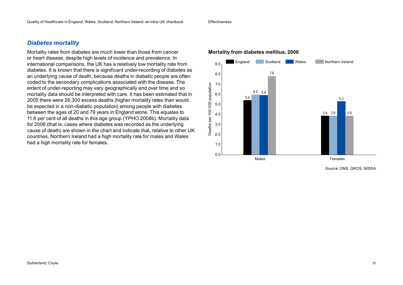### *Diabetes mortality*

Mortality rates from diabetes are much lower than those from cancer or heart disease, despite high levels of incidence and prevalence. In international comparisons, the UK has a relatively low mortality rate from diabetes. It is known that there is significant under-recording of diabetes as an underlying cause of death, because deaths in diabetic people are often coded to the secondary complications associated with the disease. The extent of under-reporting may vary geographically and over time and so mortality data should be interpreted with care. It has been estimated that in 2005 there were 26,300 excess deaths (higher mortality rates than would be expected in a non-diabetic population) among people with diabetes between the ages of 20 and 79 years in England alone. This equates to 11.6 per cent of all deaths in this age group (YPHO 2008b). Mortality data for 2006 (that is, cases where diabetes was recorded as the underlying cause of death) are shown in the chart and indicate that, relative to other UK countries, Northern Ireland had a high mortality rate for males and Wales had a high mortality rate for females.

# 9.0 **Mortality from diabetes mellitus, 2006**



Source: ONS, GROS, NISRA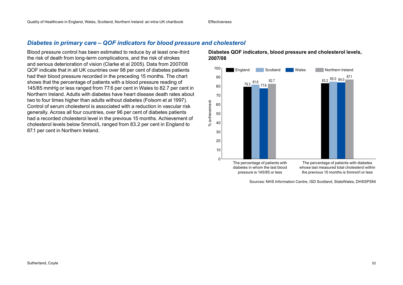### *Diabetes in primary care – QOF indicators for blood pressure and cholesterol*

Blood pressure control has been estimated to reduce by at least one-third the risk of death from long-term complications, and the risk of strokes and serious deterioration of vision (Clarke et al 2005). Data from 2007/08 QOF indicate that in all UK countries over 98 per cent of diabetes patients had their blood pressure recorded in the preceding 15 months. The chart shows that the percentage of patients with a blood pressure reading of 145/85 mmHg or less ranged from 77.6 per cent in Wales to 82.7 per cent in Northern Ireland. Adults with diabetes have heart disease death rates about two to four times higher than adults without diabetes (Folsom et al 1997). Control of serum cholesterol is associated with a reduction in vascular risk generally. Across all four countries, over 96 per cent of diabetes patients had a recorded cholesterol level in the previous 15 months. Achievement of cholesterol levels below 5mmol/L ranged from 83.2 per cent in England to 87.1 per cent in Northern Ireland.

**Diabetes QOF indicators, blood pressure and cholesterol levels, 2007/08**



Sources: NHS Information Centre, ISD Scotland, StatsWales, DHSSPSNI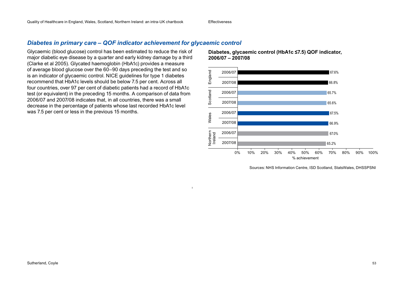### *Diabetes in primary care – QOF indicator achievement for glycaemic control*

Glycaemic (blood glucose) control has been estimated to reduce the risk of major diabetic eye disease by a quarter and early kidney damage by a third (Clarke et al 2005). Glycated haemoglobin (HbA1c) provides a measure of average blood glucose over the 60–90 days preceding the test and so is an indicator of glycaemic control. NICE guidelines for type 1 diabetes recommend that HbA1c levels should be below 7.5 per cent. Across all four countries, over 97 per cent of diabetic patients had a record of HbA1c test (or equivalent) in the preceding 15 months. A comparison of data from 2006/07 and 2007/08 indicates that, in all countries, there was a small decrease in the percentage of patients whose last recorded HbA1c level was 7.5 per cent or less in the previous 15 months.

**Diabetes, glycaemic control (HbA1c ≤7.5) QOF indicator, 2006/07 – 2007/08**



Sources: NHS Information Centre, ISD Scotland, StatsWales, DHSSPSNI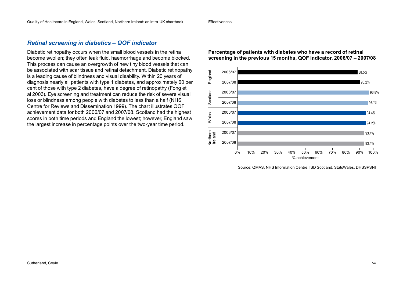### *Retinal screening in diabetics – QOF indicator*

Diabetic retinopathy occurs when the small blood vessels in the retina become swollen; they often leak fluid, haemorrhage and become blocked. This process can cause an overgrowth of new tiny blood vessels that can be associated with scar tissue and retinal detachment. Diabetic retinopathy is a leading cause of blindness and visual disability. Within 20 years of diagnosis nearly all patients with type 1 diabetes, and approximately 60 per cent of those with type 2 diabetes, have a degree of retinopathy (Fong et al 2003). Eye screening and treatment can reduce the risk of severe visual loss or blindness among people with diabetes to less than a half (NHS Centre for Reviews and Dissemination 1999). The chart illustrates QOF achievement data for both 2006/07 and 2007/08. Scotland had the highest scores in both time periods and England the lowest; however, England saw the largest increase in percentage points over the two-year time period.

**Percentage of patients with diabetes who have a record of retinal screening in the previous 15 months, QOF indicator, 2006/07 – 2007/08**



Source: QMAS, NHS Information Centre, ISD Scotland, StatsWales, DHSSPSNI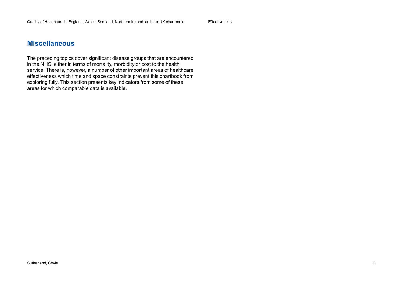### **Miscellaneous**

The preceding topics cover significant disease groups that are encountered in the NHS, either in terms of mortality, morbidity or cost to the health service. There is, however, a number of other important areas of healthcare effectiveness which time and space constraints prevent this chartbook from exploring fully. This section presents key indicators from some of these areas for which comparable data is available.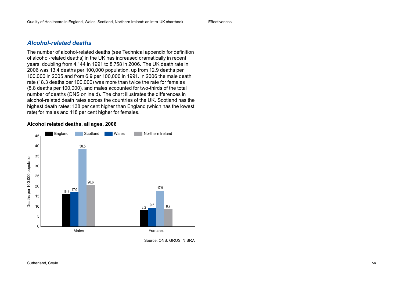#### *Alcohol-related deaths*

The number of alcohol-related deaths (see Technical appendix for definition of alcohol-related deaths) in the UK has increased dramatically in recent years, doubling from 4,144 in 1991 to 8,758 in 2006. The UK death rate in 2006 was 13.4 deaths per 100,000 population, up from 12.9 deaths per 100,000 in 2005 and from 6.9 per 100,000 in 1991. In 2006 the male death rate (18.3 deaths per 100,000) was more than twice the rate for females (8.8 deaths per 100,000), and males accounted for two-thirds of the total number of deaths (ONS online d). The chart illustrates the differences in alcohol-related death rates across the countries of the UK. Scotland has the highest death rates: 138 per cent higher than England (which has the lowest rate) for males and 118 per cent higher for females.

#### **Alcohol related deaths, all ages, 2006**



Source: ONS, GROS, NISRA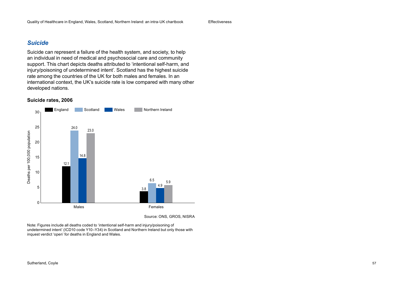### *Suicide*

Suicide can represent a failure of the health system, and society, to help an individual in need of medical and psychosocial care and community support. This chart depicts deaths attributed to 'intentional self-harm, and injury/poisoning of undetermined intent'. Scotland has the highest suicide rate among the countries of the UK for both males and females. In an international context, the UK's suicide rate is low compared with many other developed nations.

#### **Suicide rates, 2006**



Source: ONS, GROS, NISRA

Note: Figures include all deaths coded to 'intentional self-harm and injury/poisoning of undetermined intent' (ICD10 code Y10–Y34) in Scotland and Northern Ireland but only those with inquest verdict 'open' for deaths in England and Wales.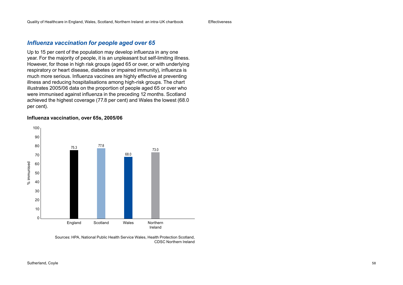### *Influenza vaccination for people aged over 65*

Up to 15 per cent of the population may develop influenza in any one year. For the majority of people, it is an unpleasant but self-limiting illness. However, for those in high risk groups (aged 65 or over, or with underlying respiratory or heart disease, diabetes or impaired immunity), influenza is much more serious. Influenza vaccines are highly effective at preventing illness and reducing hospitalisations among high-risk groups. The chart illustrates 2005/06 data on the proportion of people aged 65 or over who were immunised against influenza in the preceding 12 months. Scotland achieved the highest coverage (77.8 per cent) and Wales the lowest (68.0 per cent).

#### **Influenza vaccination, over 65s, 2005/06**



Sources: HPA, National Public Health Service Wales, Health Protection Scotland, CDSC Northern Ireland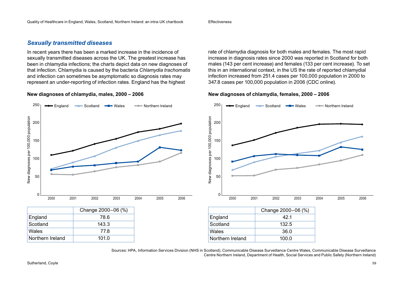#### *Sexually transmitted diseases*

In recent years there has been a marked increase in the incidence of sexually transmitted diseases across the UK. The greatest increase has been in chlamydia infections; the charts depict data on new diagnoses of that infection. Chlamydia is caused by the bacteria *Chlamydia trachomatis*  and infection can sometimes be asymptomatic so diagnosis rates may represent an under-reporting of infection rates. England has the highest

#### **New diagnoses of chlamydia, males, 2000 – 2006**

rate of chlamydia diagnosis for both males and females. The most rapid increase in diagnosis rates since 2000 was reported in Scotland for both males (143 per cent increase) and females (133 per cent increase). To set this in an international context, in the US the rate of reported chlamydial infection increased from 251.4 cases per 100,000 population in 2000 to 347.8 cases per 100,000 population in 2006 (CDC online).

#### **New diagnoses of chlamydia, females, 2000 – 2006**



Sources: HPA, Information Services Division (NHS in Scotland), Communicable Disease Surveillance Centre Wales, Communicable Disease Surveillance Centre Northern Ireland, Department of Health, Social Services and Public Safety (Northern Ireland)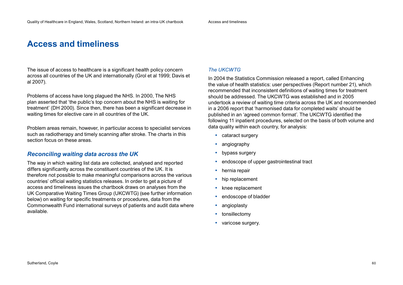# **Access and timeliness**

The issue of access to healthcare is a significant health policy concern across all countries of the UK and internationally (Grol et al 1999; Davis et al 2007).

Problems of access have long plagued the NHS. In 2000, The NHS plan asserted that 'the public's top concern about the NHS is waiting for treatment' (DH 2000). Since then, there has been a significant decrease in waiting times for elective care in all countries of the UK.

Problem areas remain, however, in particular access to specialist services such as radiotherapy and timely scanning after stroke. The charts in this section focus on these areas.

### *Reconciling waiting data across the UK*

The way in which waiting list data are collected, analysed and reported differs significantly across the constituent countries of the UK. It is therefore not possible to make meaningful comparisons across the various countries' official waiting statistics releases. In order to get a picture of access and timeliness issues the chartbook draws on analyses from the UK Comparative Waiting Times Group (UKCWTG) (see further information below) on waiting for specific treatments or procedures, data from the Commonwealth Fund international surveys of patients and audit data where available.

#### *The UKCWTG*

In 2004 the Statistics Commission released a report, called Enhancing the value of health statistics: user perspectives (Report number 21), which recommended that inconsistent definitions of waiting times for treatment should be addressed. The UKCWTG was established and in 2005 undertook a review of waiting time criteria across the UK and recommended in a 2006 report that 'harmonised data for completed waits' should be published in an 'agreed common format'. The UKCWTG identified the following 11 inpatient procedures, selected on the basis of both volume and data quality within each country, for analysis:

- cataract surgery
- angiography
- bypass surgery
- endoscope of upper gastrointestinal tract
- hernia repair
- hip replacement
- knee replacement
- endoscope of bladder
- angioplasty
- tonsillectomy
- varicose surgery.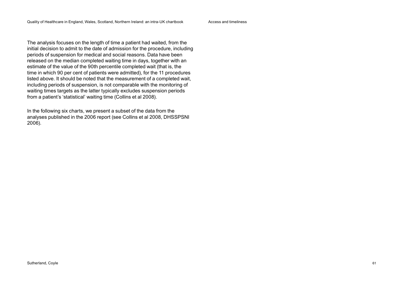The analysis focuses on the length of time a patient had waited, from the initial decision to admit to the date of admission for the procedure, including periods of suspension for medical and social reasons. Data have been released on the median completed waiting time in days, together with an estimate of the value of the 90th percentile completed wait (that is, the time in which 90 per cent of patients were admitted), for the 11 procedures listed above. It should be noted that the measurement of a completed wait, including periods of suspension, is not comparable with the monitoring of waiting times targets as the latter typically excludes suspension periods from a patient's 'statistical' waiting time (Collins et al 2008).

In the following six charts, we present a subset of the data from the analyses published in the 2006 report (see Collins et al 2008, DHSSPSNI 2006).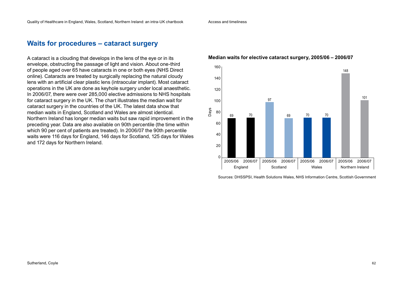Access and timeliness

### **Waits for procedures – cataract surgery**

A cataract is a clouding that develops in the lens of the eye or in its envelope, obstructing the passage of light and vision. About one-third of people aged over 65 have cataracts in one or both eyes (NHS Direct online). Cataracts are treated by surgically replacing the natural cloudy lens with an artificial clear plastic lens (intraocular implant). Most cataract operations in the UK are done as keyhole surgery under local anaesthetic. In 2006/07, there were over 285,000 elective admissions to NHS hospitals for cataract surgery in the UK. The chart illustrates the median wait for cataract surgery in the countries of the UK. The latest data show that median waits in England, Scotland and Wales are almost identical. Northern Ireland has longer median waits but saw rapid improvement in the preceding year. Data are also available on 90th percentile (the time within which 90 per cent of patients are treated). In 2006/07 the 90th percentile waits were 116 days for England, 146 days for Scotland, 125 days for Wales and 172 days for Northern Ireland.

#### 160 140 120 100 80 60 40 20  $\mathfrak{c}$ Days 2005/06 2006/07 2005/06 2006/07 2005/06 2006/07 2005/06 2006/07 Scotland | Wales | Northern Ireland 69 70 97 69 70 70 148 101 England

#### **Median waits for elective cataract surgery, 2005/06 – 2006/07**

Sources: DHSSPSI, Health Solutions Wales, NHS Information Centre, Scottish Government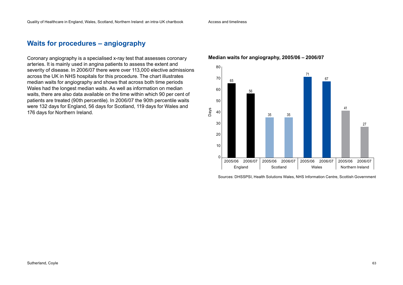### **Waits for procedures – angiography**

Coronary angiography is a specialised x-ray test that assesses coronary arteries. It is mainly used in angina patients to assess the extent and severity of disease. In 2006/07 there were over 113,000 elective admissions across the UK in NHS hospitals for this procedure. The chart illustrates median waits for angiography and shows that across both time periods Wales had the longest median waits. As well as information on median waits, there are also data available on the time within which 90 per cent of patients are treated (90th percentile). In 2006/07 the 90th percentile waits were 132 days for England, 56 days for Scotland, 119 days for Wales and 176 days for Northern Ireland.

#### **Median waits for angiography, 2005/06 – 2006/07**



Sources: DHSSPSI, Health Solutions Wales, NHS Information Centre, Scottish Government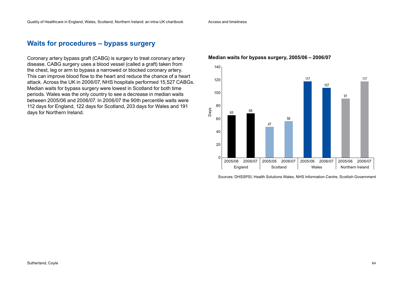Access and timeliness

# **Waits for procedures – bypass surgery**

Coronary artery bypass graft (CABG) is surgery to treat coronary artery disease. CABG surgery uses a blood vessel (called a graft) taken from the chest, leg or arm to bypass a narrowed or blocked coronary artery. This can improve blood flow to the heart and reduce the chance of a heart attack. Across the UK in 2006/07, NHS hospitals performed 15,527 CABGs. Median waits for bypass surgery were lowest in Scotland for both time periods. Wales was the only country to see a decrease in median waits between 2005/06 and 2006/07. In 2006/07 the 90th percentile waits were 112 days for England, 122 days for Scotland, 203 days for Wales and 191 days for Northern Ireland.

#### **Median waits for bypass surgery, 2005/06 – 2006/07**



Sources: DHSSPSI, Health Solutions Wales, NHS Information Centre, Scottish Government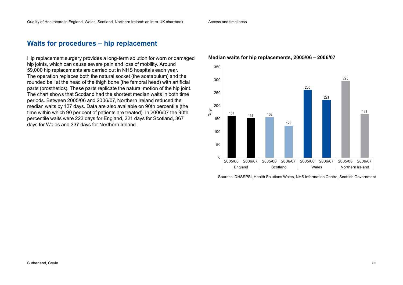## **Waits for procedures – hip replacement**

Hip replacement surgery provides a long-term solution for worn or damaged hip joints, which can cause severe pain and loss of mobility. Around 59,000 hip replacements are carried out in NHS hospitals each year. The operation replaces both the natural socket (the acetabulum) and the rounded ball at the head of the thigh bone (the femoral head) with artificial parts (prosthetics). These parts replicate the natural motion of the hip joint. The chart shows that Scotland had the shortest median waits in both time periods. Between 2005/06 and 2006/07, Northern Ireland reduced the median waits by 127 days. Data are also available on 90th percentile (the time within which 90 per cent of patients are treated). In 2006/07 the 90th percentile waits were 223 days for England, 221 days for Scotland, 367 days for Wales and 337 days for Northern Ireland.

#### **Median waits for hip replacements, 2005/06 – 2006/07**



Sources: DHSSPSI, Health Solutions Wales, NHS Information Centre, Scottish Government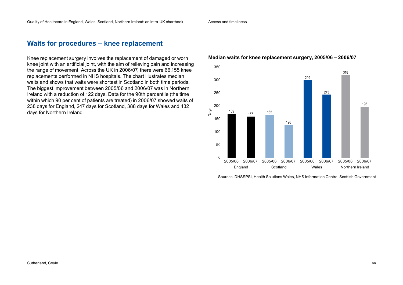Access and timeliness

### **Waits for procedures – knee replacement**

Knee replacement surgery involves the replacement of damaged or worn knee joint with an artificial joint, with the aim of relieving pain and increasing the range of movement. Across the UK in 2006/07, there were 66,155 knee replacements performed in NHS hospitals. The chart illustrates median waits and shows that waits were shortest in Scotland in both time periods. The biggest improvement between 2005/06 and 2006/07 was in Northern Ireland with a reduction of 122 days. Data for the 90th percentile (the time within which 90 per cent of patients are treated) in 2006/07 showed waits of 238 days for England, 247 days for Scotland, 388 days for Wales and 432 days for Northern Ireland.

#### **Median waits for knee replacement surgery, 2005/06 – 2006/07**



Sources: DHSSPSI, Health Solutions Wales, NHS Information Centre, Scottish Government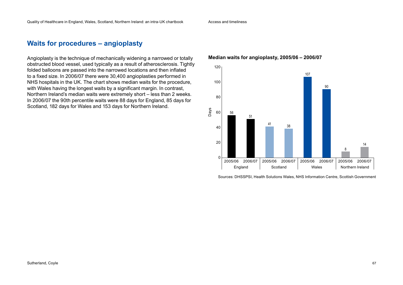### **Waits for procedures – angioplasty**

Angioplasty is the technique of mechanically widening a narrowed or totally obstructed blood vessel, used typically as a result of atherosclerosis. Tightly folded balloons are passed into the narrowed locations and then inflated to a fixed size. In 2006/07 there were 30,400 angioplasties performed in NHS hospitals in the UK. The chart shows median waits for the procedure, with Wales having the longest waits by a significant margin. In contrast, Northern Ireland's median waits were extremely short – less than 2 weeks. In 2006/07 the 90th percentile waits were 88 days for England, 85 days for Scotland, 182 days for Wales and 153 days for Northern Ireland.

#### **Median waits for angioplasty, 2005/06 – 2006/07**



Sources: DHSSPSI, Health Solutions Wales, NHS Information Centre, Scottish Government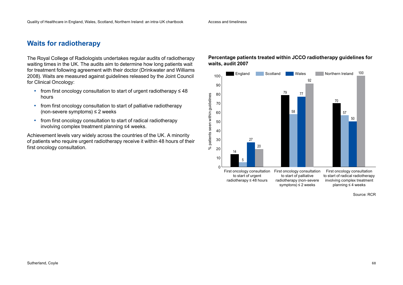Access and timeliness

# **Waits for radiotherapy**

The Royal College of Radiologists undertakes regular audits of radiotherapy waiting times in the UK. The audits aim to determine how long patients wait for treatment following agreement with their doctor (Drinkwater and Williams 2008). Waits are measured against guidelines released by the Joint Council for Clinical Oncology:

- from first oncology consultation to start of urgent radiotherapy  $\leq 48$ hours
- from first oncology consultation to start of palliative radiotherapy (non-severe symptoms) ≤ 2 weeks
- from first oncology consultation to start of radical radiotherapy involving complex treatment planning ≤4 weeks.

Achievement levels vary widely across the countries of the UK. A minority of patients who require urgent radiotherapy receive it within 48 hours of their first oncology consultation.

#### **Percentage patients treated within JCCO radiotherapy guidelines for waits, audit 2007**

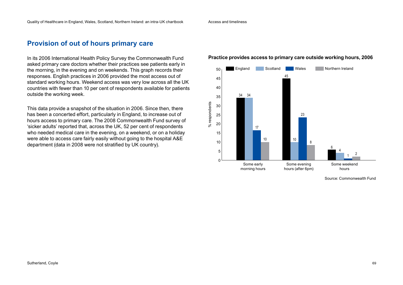### **Provision of out of hours primary care**

In its 2006 International Health Policy Survey the Commonwealth Fund asked primary care doctors whether their practices see patients early in the morning, in the evening and on weekends. This graph records their responses. English practices in 2006 provided the most access out of standard working hours. Weekend access was very low across all the UK countries with fewer than 10 per cent of respondents available for patients outside the working week.

This data provide a snapshot of the situation in 2006. Since then, there has been a concerted effort, particularly in England, to increase out of hours access to primary care. The 2008 Commonwealth Fund survey of 'sicker adults' reported that, across the UK, 52 per cent of respondents who needed medical care in the evening, on a weekend, or on a holiday were able to access care fairly easily without going to the hospital A&E department (data in 2008 were not stratified by UK country).

#### England Scotland Wales Northern Ireland 50 45 45 40 34 34 35 respondents % respondents 30 25 23 20  $\aleph$ 17 15 10 10 10 86 5 4 2 1  $\Omega$ Some early Some evening Some weekend morning hours hours (after 6pm) hours

#### **Practice provides access to primary care outside working hours, 2006**

Source: Commonwealth Fund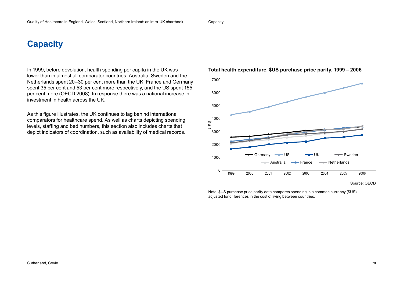**Capacity** 

# **Capacity**

In 1999, before devolution, health spending per capita in the UK was lower than in almost all comparator countries. Australia, Sweden and the Netherlands spent 20–30 per cent more than the UK, France and Germany spent 35 per cent and 53 per cent more respectively, and the US spent 155 per cent more (OECD 2008). In response there was a national increase in investment in health across the UK.

As this figure illustrates, the UK continues to lag behind international comparators for healthcare spend. As well as charts depicting spending levels, staffing and bed numbers, this section also includes charts that depict indicators of coordination, such as availability of medical records.





Note: \$US purchase price parity data compares spending in a common currency (\$US), adjusted for differences in the cost of living between countries.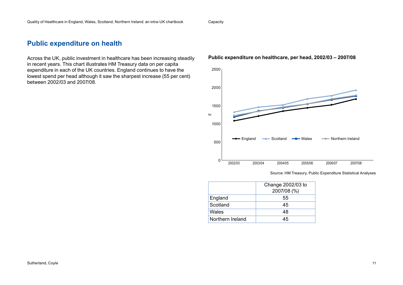### **Public expenditure on health**

Across the UK, public investment in healthcare has been increasing steadily in recent years. This chart illustrates HM Treasury data on per capita expenditure in each of the UK countries. England continues to have the lowest spend per head although it saw the sharpest increase (55 per cent) between 2002/03 and 2007/08.

#### **Public expenditure on healthcare, per head, 2002/03 – 2007/08**



Source: HM Treasury, Public Expenditure Statistical Analyses

|                  | Change 2002/03 to<br>2007/08 (%) |
|------------------|----------------------------------|
| England          | 55                               |
| Scotland         | 45                               |
| Wales            | 48                               |
| Northern Ireland | 45                               |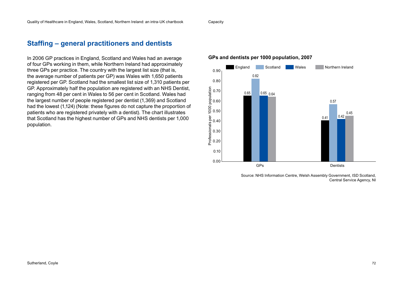#### Capacity

### **Staffing – general practitioners and dentists**

In 2006 GP practices in England, Scotland and Wales had an average of four GPs working in them, while Northern Ireland had approximately three GPs per practice. The country with the largest list size (that is, the average number of patients per GP) was Wales with 1,650 patients registered per GP. Scotland had the smallest list size of 1,310 patients per GP. Approximately half the population are registered with an NHS Dentist, ranging from 48 per cent in Wales to 56 per cent in Scotland. Wales had the largest number of people registered per dentist (1,369) and Scotland had the lowest (1,124) (Note: these figures do not capture the proportion of patients who are registered privately with a dentist). The chart illustrates that Scotland has the highest number of GPs and NHS dentists per 1,000 population.



#### **GPs and dentists per 1000 population, 2007**

Source: NHS Information Centre, Welsh Assembly Government, ISD Scotland, Central Service Agency, NI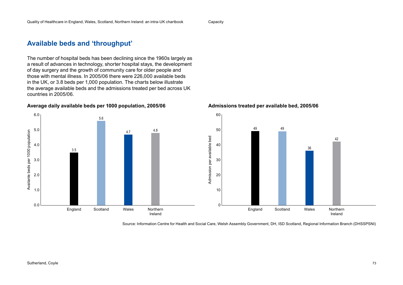# **Available beds and 'throughput'**

3.5

The number of hospital beds has been declining since the 1960s largely as a result of advances in technology, shorter hospital stays, the development of day surgery and the growth of community care for older people and those with mental illness. In 2005/06 there were 226,000 available beds in the UK, or 3.8 beds per 1,000 population. The charts below illustrate the average available beds and the admissions treated per bed across UK countries in 2005/06.

England Scotland Wales Northern

Ireland

4.7 4.8

**Average daily available beds per 1000 population, 2005/06**

5.6



**Admissions treated per available bed, 2005/06**

Source: Information Centre for Health and Social Care, Welsh Assembly Government, DH, ISD Scotland, Regional Information Branch (DHSSPSNI)

6.0

5.0

4.0

3.0

Availanle beds per 1000 population

Availanle beds per 1000 population

2.0

1.0

0.0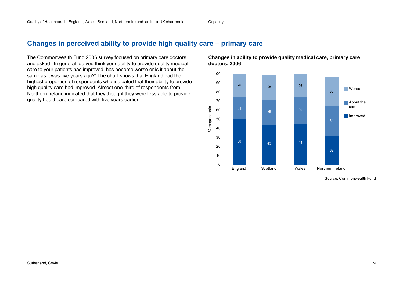Capacity

### **Changes in perceived ability to provide high quality care – primary care**

The Commonwealth Fund 2006 survey focused on primary care doctors and asked, 'In general, do you think your ability to provide quality medical care to your patients has improved, has become worse or is it about the same as it was five years ago?' The chart shows that England had the highest proportion of respondents who indicated that their ability to provide high quality care had improved. Almost one-third of respondents from Northern Ireland indicated that they thought they were less able to provide quality healthcare compared with five years earlier.

**Changes in ability to provide quality medical care, primary care doctors, 2006**

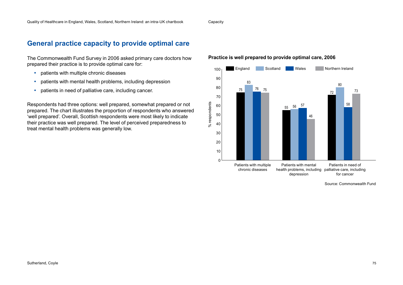### **General practice capacity to provide optimal care**

The Commonwealth Fund Survey in 2006 asked primary care doctors how prepared their practice is to provide optimal care for:

- patients with multiple chronic diseases
- patients with mental health problems, including depression
- patients in need of palliative care, including cancer.

Respondents had three options: well prepared, somewhat prepared or not prepared. The chart illustrates the proportion of respondents who answered 'well prepared'. Overall, Scottish respondents were most likely to indicate their practice was well prepared. The level of perceived preparedness to treat mental health problems was generally low.





Source: Commonwealth Fund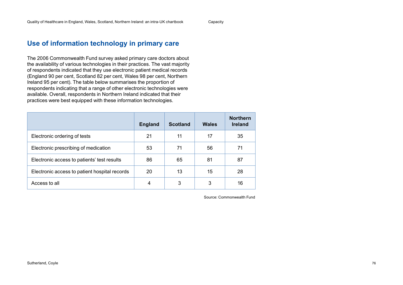Capacity

### **Use of information technology in primary care**

The 2006 Commonwealth Fund survey asked primary care doctors about the availability of various technologies in their practices. The vast majority of respondents indicated that they use electronic patient medical records (England 90 per cent, Scotland 82 per cent, Wales 98 per cent, Northern Ireland 95 per cent). The table below summarises the proportion of respondents indicating that a range of other electronic technologies were available. Overall, respondents in Northern Ireland indicated that their practices were best equipped with these information technologies.

|                                               | <b>England</b> | <b>Scotland</b> | Wales | <b>Northern</b><br><b>Ireland</b> |
|-----------------------------------------------|----------------|-----------------|-------|-----------------------------------|
| Electronic ordering of tests                  | 21             | 11              | 17    | 35                                |
| Electronic prescribing of medication          | 53             | 71              | 56    | 71                                |
| Electronic access to patients' test results   | 86             | 65              | 81    | 87                                |
| Electronic access to patient hospital records | 20             | 13              | 15    | 28                                |
| Access to all                                 | 4              | 3               | 3     | 16                                |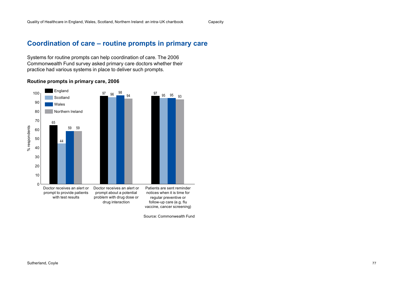### **Coordination of care – routine prompts in primary care**

Systems for routine prompts can help coordination of care. The 2006 Commonwealth Fund survey asked primary care doctors whether their practice had various systems in place to deliver such prompts.



#### **Routine prompts in primary care, 2006**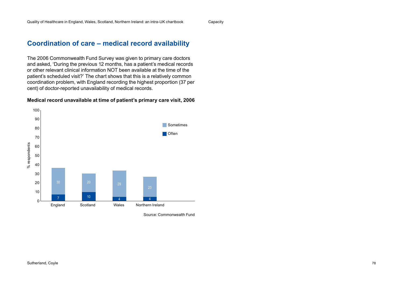Capacity

### **Coordination of care – medical record availability**

The 2006 Commonwealth Fund Survey was given to primary care doctors and asked, 'During the previous 12 months, has a patient's medical records or other relevant clinical information NOT been available at the time of the patient's scheduled visit?' The chart shows that this is a relatively common coordination problem, with England recording the highest proportion (37 per cent) of doctor-reported unavailability of medical records.

#### **Medical record unavailable at time of patient's primary care visit, 2006**

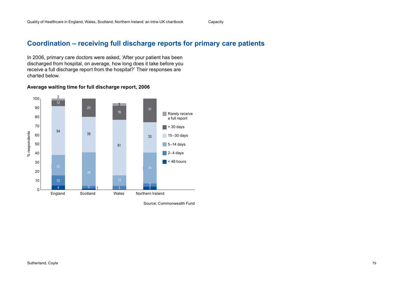### **Coordination – receiving full discharge reports for primary care patients**

In 2006, primary care doctors were asked, 'After your patient has been discharged from hospital, on average, how long does it take before you receive a full discharge report from the hospital?' Their responses are charted below.

#### **Average waiting time for full discharge report, 2006**

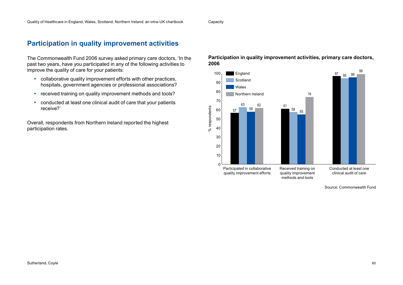Capacity

### **Participation in quality improvement activities**

The Commonwealth Fund 2006 survey asked primary care doctors, 'In the past two years, have you participated in any of the following activities to improve the quality of care for your patients:

- collaborative quality improvement efforts with other practices, hospitals, government agencies or professional associations?
- received training on quality improvement methods and tools?
- conducted at least one clinical audit of care that your patients receive?'

Overall, respondents from Northern Ireland reported the highest participation rates.

#### **Participation in quality improvement activities, primary care doctors, 2006**

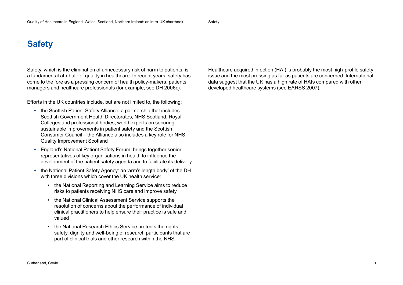# **Safety**

Safety, which is the elimination of unnecessary risk of harm to patients, is a fundamental attribute of quality in healthcare. In recent years, safety has come to the fore as a pressing concern of health policy-makers, patients, managers and healthcare professionals (for example, see DH 2006c).

Efforts in the UK countries include, but are not limited to, the following:

- the Scottish Patient Safety Alliance: a partnership that includes Scottish Government Health Directorates, NHS Scotland, Royal Colleges and professional bodies, world experts on securing sustainable improvements in patient safety and the Scottish Consumer Council – the Alliance also includes a key role for NHS Quality Improvement Scotland
- England's National Patient Safety Forum: brings together senior representatives of key organisations in health to influence the development of the patient safety agenda and to facilitate its delivery
- the National Patient Safety Agency: an 'arm's length body' of the DH with three divisions which cover the UK health service:
	- the National Reporting and Learning Service aims to reduce risks to patients receiving NHS care and improve safety
	- • the National Clinical Assessment Service supports the resolution of concerns about the performance of individual clinical practitioners to help ensure their practice is safe and valued
	- the National Research Ethics Service protects the rights, safety, dignity and well-being of research participants that are part of clinical trials and other research within the NHS.

Healthcare acquired infection (HAI) is probably the most high-profile safety issue and the most pressing as far as patients are concerned. International data suggest that the UK has a high rate of HAIs compared with other developed healthcare systems (see EARSS 2007).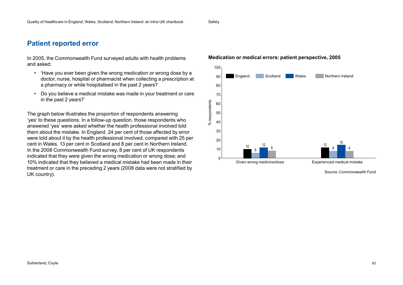# **Patient reported error**

In 2005, the Commonwealth Fund surveyed adults with health problems and asked:

- 'Have you ever been given the wrong medication or wrong dose by a doctor, nurse, hospital or pharmacist when collecting a prescription at a pharmacy or while hospitalised in the past 2 years?
- Do you believe a medical mistake was made in your treatment or care in the past 2 years?'

The graph below illustrates the proportion of respondents answering 'yes' to these questions. In a follow-up question, those respondents who answered 'yes' were asked whether the health professional involved told them about the mistake. In England, 24 per cent of those affected by error were told about it by the health professional involved, compared with 25 per cent in Wales, 13 per cent in Scotland and 8 per cent in Northern Ireland. In the 2008 Commonwealth Fund survey, 8 per cent of UK respondents indicated that they were given the wrong medication or wrong dose; and 10% indicated that they believed a medical mistake had been made in their treatment or care in the preceding 2 years (2008 data were not stratified by UK country).

### **Medication or medical errors: patient perspective, 2005**

**Safety** 



Source: Commonwealth Fund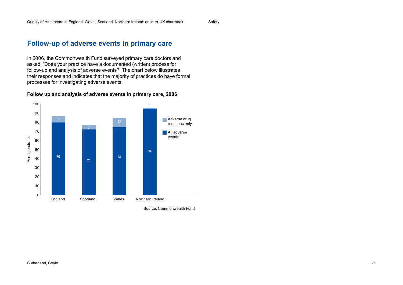### **Follow-up of adverse events in primary care**

In 2006, the Commonwealth Fund surveyed primary care doctors and asked, 'Does your practice have a documented (written) process for follow-up and analysis of adverse events?' The chart below illustrates their responses and indicates that the majority of practices do have formal processes for investigating adverse events.

#### **Follow up and analysis of adverse events in primary care, 2006**

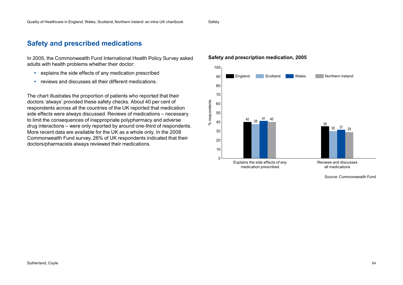### **Safety and prescribed medications**

In 2005, the Commonwealth Fund International Health Policy Survey asked adults with health problems whether their doctor:

- explains the side effects of any medication prescribed
- reviews and discusses all their different medications.

The chart illustrates the proportion of patients who reported that their doctors 'always' provided these safety checks. About 40 per cent of respondents across all the countries of the UK reported that medication side effects were always discussed. Reviews of medications – necessary to limit the consequences of inappropriate polypharmacy and adverse drug interactions – were only reported by around one-third of respondents. More recent data are available for the UK as a whole only. In the 2008 Commonwealth Fund survey, 26% of UK respondents indicated that their doctors/pharmacists always reviewed their medications.

#### **Safety and prescription medication, 2005**

**Safety** 



Source: Commonwealth Fund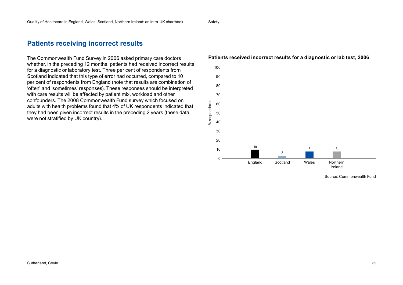### **Patients receiving incorrect results**

The Commonwealth Fund Survey in 2006 asked primary care doctors whether, in the preceding 12 months, patients had received incorrect results for a diagnostic or laboratory test. Three per cent of respondents from Scotland indicated that this type of error had occurred, compared to 10 per cent of respondents from England (note that results are combination of 'often' and 'sometimes' responses). These responses should be interpreted with care results will be affected by patient mix, workload and other confounders. The 2008 Commonwealth Fund survey which focused on adults with health problems found that 4% of UK respondents indicated that they had been given incorrect results in the preceding 2 years (these data were not stratified by UK country).

#### 100 90 80 70 % respondents % respondents 60 50 40 30 20 10 10 8 83  $\Omega$ England Scotland Wales Northern Ireland

#### **Patients received incorrect results for a diagnostic or lab test, 2006**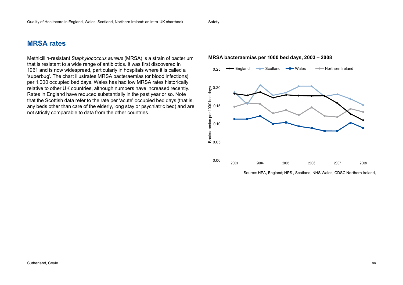### **MRSA rates**

Methicillin-resistant *Staphylococcus aureus* (MRSA) is a strain of bacterium that is resistant to a wide range of antibiotics. It was first discovered in 1961 and is now widespread, particularly in hospitals where it is called a 'superbug'. The chart illustrates MRSA bacteraemias (or blood infections) per 1,000 occupied bed days. Wales has had low MRSA rates historically relative to other UK countries, although numbers have increased recently. Rates in England have reduced substantially in the past year or so. Note that the Scottish data refer to the rate per 'acute' occupied bed days (that is, any beds other than care of the elderly, long stay or psychiatric bed) and are not strictly comparable to data from the other countries.

#### **MRSA bacteraemias per 1000 bed days, 2003 – 2008**

Safety



Source: HPA, England; HPS , Scotland, NHS Wales, CDSC Northern Ireland,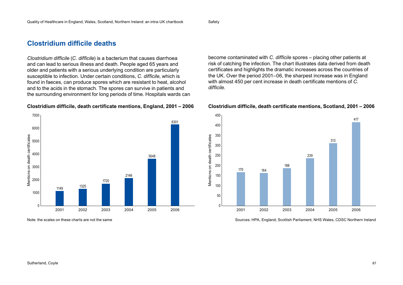### **Clostridium difficile deaths**

*Clostridium difficile* (*C. difficile*) is a bacterium that causes diarrhoea and can lead to serious illness and death. People aged 65 years and older and patients with a serious underlying condition are particularly susceptible to infection. Under certain conditions, *C. difficile*, which is found in faeces, can produce spores which are resistant to heat, alcohol and to the acids in the stomach. The spores can survive in patients and the surrounding environment for long periods of time. Hospitals wards can

### **Clostridium difficile, death certificate mentions, England, 2001 – 2006**



become contaminated with *C. difficile* spores – placing other patients at risk of catching the infection. The chart illustrates data derived from death certificates and highlights the dramatic increases across the countries of the UK. Over the period 2001–06, the sharpest increase was in England with almost 450 per cent increase in death certificate mentions of *C. difficile*.

### **Clostridium difficile, death certificate mentions, Scotland, 2001 – 2006**



Note: the scales on these charts are not the same Sources: HPA, England; Scottish Parliament, NHS Wales, CDSC Northern Ireland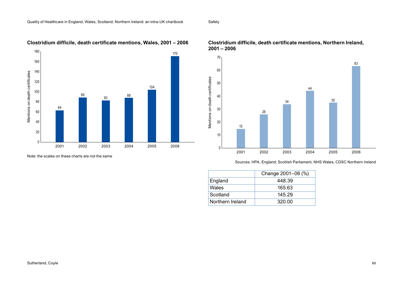Safety



**Clostridium difficile, death certificate mentions, Wales, 2001 – 2006**

Note: the scales on these charts are not the same



#### **Clostridium difficile, death certificate mentions, Northern Ireland, 2001 – 2006**

Sources: HPA, England; Scottish Parliament, NHS Wales, CDSC Northern Ireland

|                  | Change 2001-06 (%) |
|------------------|--------------------|
| England          | 448.39             |
| Wales            | 165.63             |
| Scotland         | 145.29             |
| Northern Ireland | 320.00             |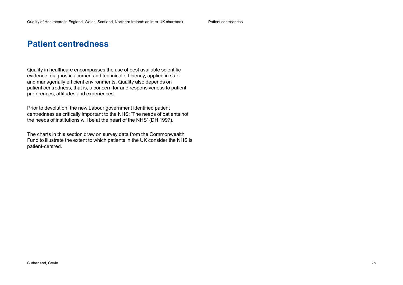# **Patient centredness**

Quality in healthcare encompasses the use of best available scientific evidence, diagnostic acumen and technical efficiency, applied in safe and managerially efficient environments. Quality also depends on patient centredness, that is, a concern for and responsiveness to patient preferences, attitudes and experiences.

Prior to devolution, the new Labour government identified patient centredness as critically important to the NHS: 'The needs of patients not the needs of institutions will be at the heart of the NHS' (DH 1997).

The charts in this section draw on survey data from the Commonwealth Fund to illustrate the extent to which patients in the UK consider the NHS is patient-centred.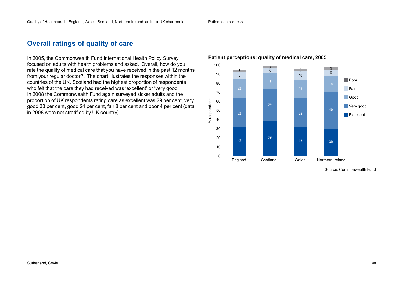Patient centredness

### **Overall ratings of quality of care**

In 2005, the Commonwealth Fund International Health Policy Survey focused on adults with health problems and asked, 'Overall, how do you rate the quality of medical care that you have received in the past 12 months from your regular doctor?'. The chart illustrates the responses within the countries of the UK. Scotland had the highest proportion of respondents who felt that the care they had received was 'excellent' or 'very good'. In 2008 the Commonwealth Fund again surveyed sicker adults and the proportion of UK respondents rating care as excellent was 29 per cent, very good 33 per cent, good 24 per cent, fair 8 per cent and poor 4 per cent (data in 2008 were not stratified by UK country).

### **Patient perceptions: quality of medical care, 2005**

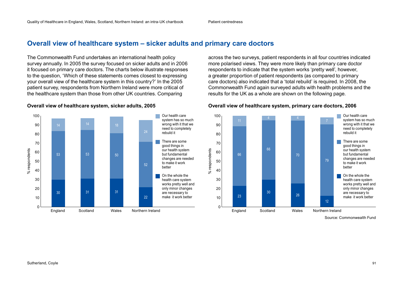### **Overall view of healthcare system – sicker adults and primary care doctors**

The Commonwealth Fund undertakes an international health policy survey annually. In 2005 the survey focused on sicker adults and in 2006 it focused on primary care doctors. The charts below illustrate responses to the question, 'Which of these statements comes closest to expressing your overall view of the healthcare system in this country?' In the 2005 patient survey, respondents from Northern Ireland were more critical of the healthcare system than those from other UK countries. Comparing



#### **Overall view of healthcare system, sicker adults, 2005**

across the two surveys, patient respondents in all four countries indicated more polarised views. They were more likely than primary care doctor respondents to indicate that the system works 'pretty well', however, a greater proportion of patient respondents (as compared to primary care doctors) also indicated that a 'total rebuild' is required. In 2008, the Commonwealth Fund again surveyed adults with health problems and the results for the UK as a whole are shown on the following page.



#### **Overall view of healthcare system, primary care doctors, 2006**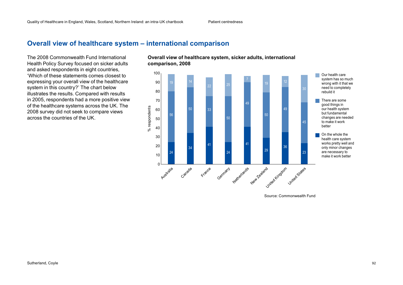Patient centredness

### **Overall view of healthcare system – international comparison**

The 2008 Commonwealth Fund International and asked respondents in eight countries, 'Which of these statements comes closest to expressing your overall view of the healthcare system in this country?' The chart below illustrates the results. Compared with results in 2005, respondents had a more positive view of the healthcare systems across the UK. The 2008 survey did not seek to compare views across the countries of the UK.



Source: Commonwealth Fund

#### Health Policy Survey focused on sicker adults **Overall view of healthcare system, sicker adults, international comparison, 2008**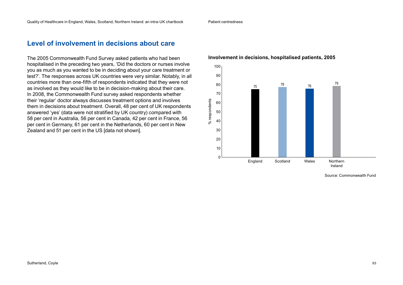### **Level of involvement in decisions about care**

The 2005 Commonwealth Fund Survey asked patients who had been hospitalised in the preceding two years, 'Did the doctors or nurses involve you as much as you wanted to be in deciding about your care treatment or test?'. The responses across UK countries were very similar. Notably, in all countries more than one-fifth of respondents indicated that they were not as involved as they would like to be in decision-making about their care. In 2008, the Commonwealth Fund survey asked respondents whether their 'regular' doctor always discusses treatment options and involves them in decisions about treatment. Overall, 48 per cent of UK respondents answered 'yes' (data were not stratified by UK country) compared with 58 per cent in Australia, 56 per cent in Canada, 42 per cent in France, 56 per cent in Germany, 61 per cent in the Netherlands, 60 per cent in New Zealand and 51 per cent in the US [data not shown].



#### **Involvement in decisions, hospitalised patients, 2005**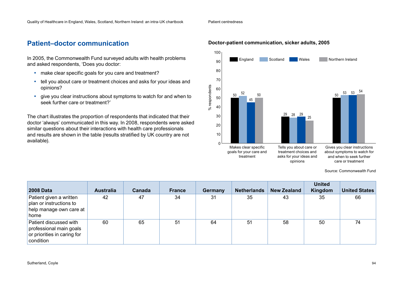## **Patient–doctor communication**

In 2005, the Commonwealth Fund surveyed adults with health problems and asked respondents, 'Does you doctor:

- make clear specific goals for you care and treatment?
- tell you about care or treatment choices and asks for your ideas and opinions?
- give you clear instructions about symptoms to watch for and when to seek further care or treatment?'

The chart illustrates the proportion of respondents that indicated that their doctor 'always' communicated in this way. In 2008, respondents were asked similar questions about their interactions with health care professionals and results are shown in the table (results stratified by UK country are not available).

**Doctor-patient communication, sicker adults, 2005**

Patient centredness



Source: Commonwealth Fund

| <b>2008 Data</b>                                                                              | <b>Australia</b> | Canada | <b>France</b> | Germany | <b>Netherlands</b> | <b>New Zealand</b> | <b>United</b><br>Kingdom | <b>United States</b> |
|-----------------------------------------------------------------------------------------------|------------------|--------|---------------|---------|--------------------|--------------------|--------------------------|----------------------|
| Patient given a written<br>plan or instructions to<br>help manage own care at<br>home         | 42               | 47     | 34            | 31      | 35                 | 43                 | 35                       | 66                   |
| Patient discussed with<br>professional main goals<br>or priorities in caring for<br>condition | 60               | 65     | 51            | 64      | 51                 | 58                 | 50                       | 74                   |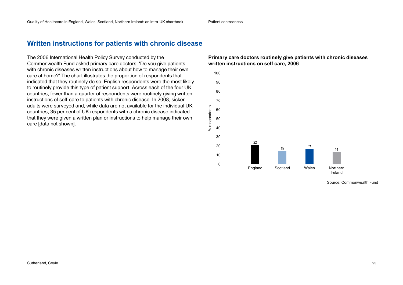### **Written instructions for patients with chronic disease**

The 2006 International Health Policy Survey conducted by the Commonwealth Fund asked primary care doctors, 'Do you give patients with chronic diseases written instructions about how to manage their own care at home?' The chart illustrates the proportion of respondents that indicated that they routinely do so. English respondents were the most likely to routinely provide this type of patient support. Across each of the four UK countries, fewer than a quarter of respondents were routinely giving written instructions of self-care to patients with chronic disease. In 2008, sicker adults were surveyed and, while data are not available for the individual UK countries, 35 per cent of UK respondents with a chronic disease indicated that they were given a written plan or instructions to help manage their own care [data not shown].

### **Primary care doctors routinely give patients with chronic diseases written instructions on self care, 2006**

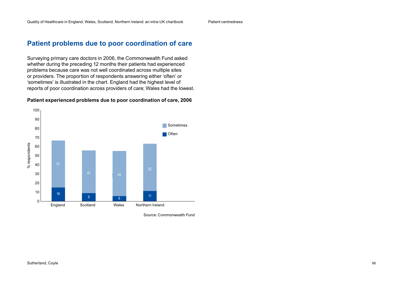Patient centredness

### **Patient problems due to poor coordination of care**

Surveying primary care doctors in 2006, the Commonwealth Fund asked whether during the preceding 12 months their patients had experienced problems because care was not well coordinated across multiple sites or providers. The proportion of respondents answering either 'often' or 'sometimes' is illustrated in the chart. England had the highest level of reports of poor coordination across providers of care; Wales had the lowest.

#### **Patient experienced problems due to poor coordination of care, 2006**

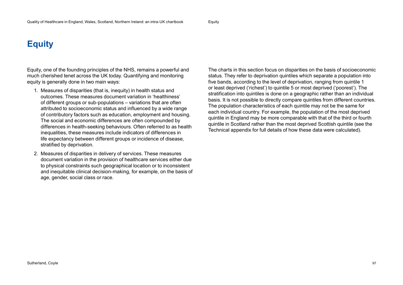# **Equity**

Equity, one of the founding principles of the NHS, remains a powerful and much cherished tenet across the UK today. Quantifying and monitoring equity is generally done in two main ways:

- 1. Measures of disparities (that is, inequity) in health status and outcomes. These measures document variation in 'healthiness' of different groups or sub-populations – variations that are often attributed to socioeconomic status and influenced by a wide range of contributory factors such as education, employment and housing. The social and economic differences are often compounded by differences in health-seeking behaviours. Often referred to as health inequalities, these measures include indicators of differences in life expectancy between different groups or incidence of disease, stratified by deprivation.
- 2. Measures of disparities in delivery of services. These measures document variation in the provision of healthcare services either due to physical constraints such geographical location or to inconsistent and inequitable clinical decision-making, for example, on the basis of age, gender, social class or race.

The charts in this section focus on disparities on the basis of socioeconomic status. They refer to deprivation quintiles which separate a population into five bands, according to the level of deprivation, ranging from quintile 1 or least deprived ('richest') to quintile 5 or most deprived ('poorest'). The stratification into quintiles is done on a geographic rather than an individual basis. It is not possible to directly compare quintiles from different countries. The population characteristics of each quintile may not be the same for each individual country. For example, the population of the most deprived quintile in England may be more comparable with that of the third or fourth quintile in Scotland rather than the most deprived Scottish quintile (see the Technical appendix for full details of how these data were calculated).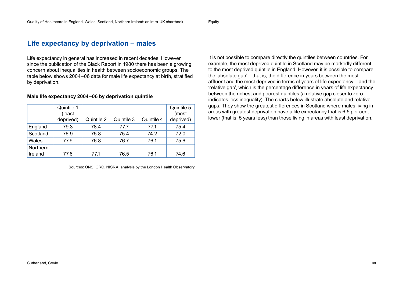**Equity** 

### **Life expectancy by deprivation – males**

Life expectancy in general has increased in recent decades. However, since the publication of the Black Report in 1980 there has been a growing concern about inequalities in health between socioeconomic groups. The table below shows 2004–06 data for male life expectancy at birth, stratified by deprivation.

|                     | Quintile 1<br>(least<br>deprived) | Quintile 2 | Quintile 3 | Quintile 4 | Quintile 5<br>(most<br>deprived) |
|---------------------|-----------------------------------|------------|------------|------------|----------------------------------|
| England             | 79.3                              | 78.4       | 77.7       | 77.1       | 75.4                             |
| Scotland            | 76.9                              | 75.8       | 75.4       | 74.2       | 72.0                             |
| Wales               | 77.9                              | 76.8       | 76.7       | 76.1       | 75.6                             |
| Northern<br>Ireland | 77.6                              | 77.1       | 76.5       | 76.1       | 74.6                             |

**Male life expectancy 2004–06 by deprivation quintile**

Sources: ONS, GRO, NISRA, analysis by the London Health Observatory

It is not possible to compare directly the quintiles between countries. For example, the most deprived quintile in Scotland may be markedly different to the most deprived quintile in England. However, it is possible to compare the 'absolute gap' – that is, the difference in years between the most affluent and the most deprived in terms of years of life expectancy – and the 'relative gap', which is the percentage difference in years of life expectancy between the richest and poorest quintiles (a relative gap closer to zero indicates less inequality). The charts below illustrate absolute and relative gaps. They show the greatest differences in Scotland where males living in areas with greatest deprivation have a life expectancy that is 6.5 per cent lower (that is, 5 years less) than those living in areas with least deprivation.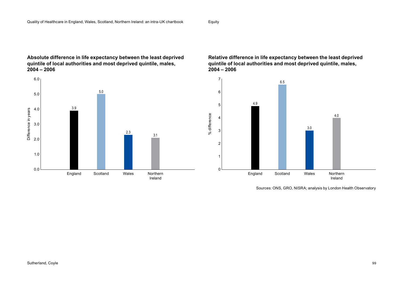### **Absolute difference in life expectancy between the least deprived quintile of local authorities and most deprived quintile, males, 2004 – 2006**



**Relative difference in life expectancy between the least deprived quintile of local authorities and most deprived quintile, males, 2004 – 2006**



Sources: ONS, GRO, NISRA; analysis by London Health Observatory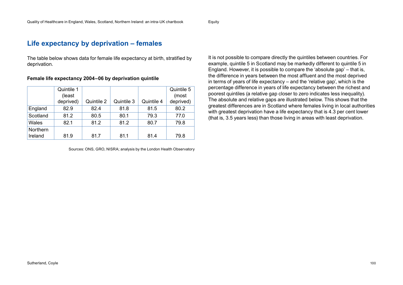**Equity** 

### **Life expectancy by deprivation – females**

The table below shows data for female life expectancy at birth, stratified by deprivation.

| Female life expectancy 2004-06 by deprivation quintile |  |  |  |
|--------------------------------------------------------|--|--|--|
|--------------------------------------------------------|--|--|--|

|                     | Quintile 1<br>(least<br>deprived) | Quintile 2 | Quintile 3 | Quintile 4 | Quintile 5<br>(most<br>deprived) |
|---------------------|-----------------------------------|------------|------------|------------|----------------------------------|
| England             | 82.9                              | 82.4       | 81.8       | 81.5       | 80.2                             |
| Scotland            | 81.2                              | 80.5       | 80.1       | 79.3       | 77.0                             |
| Wales               | 82.1                              | 81.2       | 81.2       | 80.7       | 79.8                             |
| Northern<br>Ireland | 81.9                              | 81.7       | 81.1       | 81.4       | 79.8                             |

Sources: ONS, GRO, NISRA; analysis by the London Health Observatory

It is not possible to compare directly the quintiles between countries. For example, quintile 5 in Scotland may be markedly different to quintile 5 in England. However, it is possible to compare the 'absolute gap' – that is, the difference in years between the most affluent and the most deprived in terms of years of life expectancy – and the 'relative gap', which is the percentage difference in years of life expectancy between the richest and poorest quintiles (a relative gap closer to zero indicates less inequality). The absolute and relative gaps are illustrated below. This shows that the greatest differences are in Scotland where females living in local authorities with greatest deprivation have a life expectancy that is 4.3 per cent lower (that is, 3.5 years less) than those living in areas with least deprivation.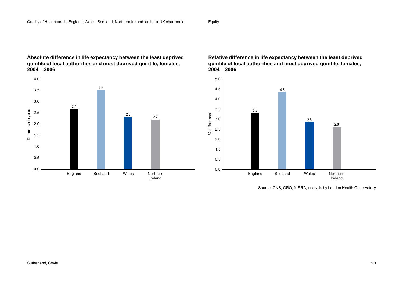### **Absolute difference in life expectancy between the least deprived quintile of local authorities and most deprived quintile, females, 2004 – 2006**



### **Relative difference in life expectancy between the least deprived quintile of local authorities and most deprived quintile, females, 2004 – 2006**



Source: ONS, GRO, NISRA; analysis by London Health Observatory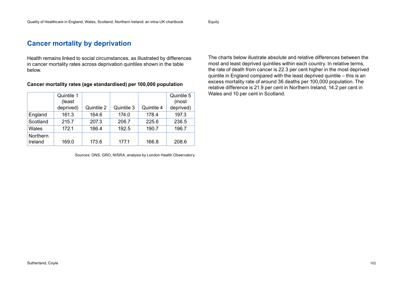Equity

### **Cancer mortality by deprivation**

Health remains linked to social circumstances, as illustrated by differences in cancer mortality rates across deprivation quintiles shown in the table below.

| Quintile 1 |                   |            |            | Quintile 5 |
|------------|-------------------|------------|------------|------------|
| (least     |                   |            |            | (most      |
| deprived)  | Quintile $2 \mid$ | Quintile 3 | Quintile 4 | deprived)  |

England | 161.3 | 164.6 | 174.0 | 178.4 | 197.3 Scotland | 215.7 | 207.3 | 206.7 | 225.6 | 236.5 Wales | 172.1 | 186.4 | 192.5 | 190.7 | 196.7

Ireland | 169.0 | 173.6 | 177.1 | 166.8 | 208.6

### **Cancer mortality rates (age standardised) per 100,000 population**

Sources: ONS, GRO, NISRA; analysis by London Health Observatory

The charts below illustrate absolute and relative differences between the most and least deprived quintiles within each country. In relative terms, the rate of death from cancer is 22.3 per cent higher in the most deprived quintile in England compared with the least deprived quintile – this is an excess mortality rate of around 36 deaths per 100,000 population. The relative difference is 21.9 per cent in Northern Ireland, 14.2 per cent in Wales and 10 per cent in Scotland.

Northern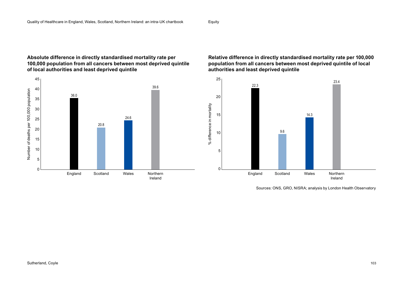### **Absolute difference in directly standardised mortality rate per 100,000 population from all cancers between most deprived quintile of local authorities and least deprived quintile**



### **Relative difference in directly standardised mortality rate per 100,000 population from all cancers between most deprived quintile of local authorities and least deprived quintile**



Sources: ONS, GRO, NISRA; analysis by London Health Observatory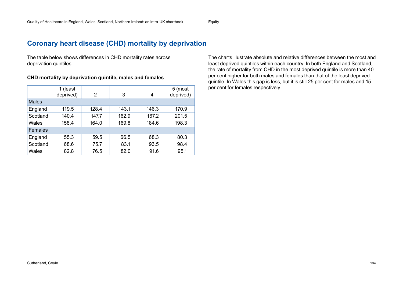Equity

### **Coronary heart disease (CHD) mortality by deprivation**

The table below shows differences in CHD mortality rates across deprivation quintiles.

#### **CHD mortality by deprivation quintile, males and females**

|                | 1 (least<br>deprived) | 2     | 3     | 4     | 5 (most<br>deprived) |  |  |  |  |
|----------------|-----------------------|-------|-------|-------|----------------------|--|--|--|--|
| <b>Males</b>   |                       |       |       |       |                      |  |  |  |  |
| England        | 119.5                 | 128.4 | 143.1 | 146.3 | 170.9                |  |  |  |  |
| Scotland       | 140.4                 | 147.7 | 162.9 | 167.2 | 201.5                |  |  |  |  |
| Wales          | 158.4                 | 164.0 | 169.8 | 184.6 | 198.3                |  |  |  |  |
| <b>Females</b> |                       |       |       |       |                      |  |  |  |  |
| England        | 55.3                  | 59.5  | 66.5  | 68.3  | 80.3                 |  |  |  |  |
| Scotland       | 68.6                  | 75.7  | 83.1  | 93.5  | 98.4                 |  |  |  |  |
| Wales          | 82.8                  | 76.5  | 82.0  | 91.6  | 95.1                 |  |  |  |  |

The charts illustrate absolute and relative differences between the most and least deprived quintiles within each country. In both England and Scotland, the rate of mortality from CHD in the most deprived quintile is more than 40 per cent higher for both males and females than that of the least deprived quintile. In Wales this gap is less, but it is still 25 per cent for males and 15 per cent for females respectively.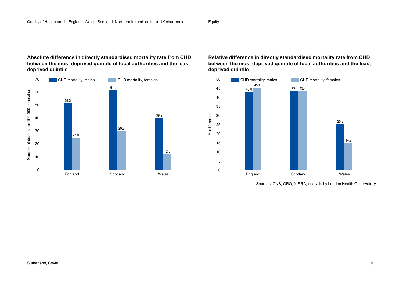### **Absolute difference in directly standardised mortality rate from CHD between the most deprived quintile of local authorities and the least deprived quintile**





Sources: ONS, GRO, NISRA; analysis by London Health Observatory

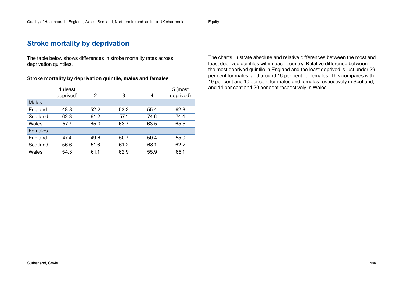Equity

### **Stroke mortality by deprivation**

The table below shows differences in stroke mortality rates across deprivation quintiles.

#### **Stroke mortality by deprivation quintile, males and females**

|              | 1 (least<br>deprived) | 2    | 3    | 4    | 5 (most<br>deprived) |  |  |  |  |
|--------------|-----------------------|------|------|------|----------------------|--|--|--|--|
| <b>Males</b> |                       |      |      |      |                      |  |  |  |  |
| England      | 48.8                  | 52.2 | 53.3 | 55.4 | 62.8                 |  |  |  |  |
| Scotland     | 62.3                  | 61.2 | 57.1 | 74.6 | 74.4                 |  |  |  |  |
| Wales        | 57.7                  | 65.0 | 63.7 | 63.5 | 65.5                 |  |  |  |  |
| Females      |                       |      |      |      |                      |  |  |  |  |
| England      | 47.4                  | 49.6 | 50.7 | 50.4 | 55.0                 |  |  |  |  |
| Scotland     | 56.6                  | 51.6 | 61.2 | 68.1 | 62.2                 |  |  |  |  |
| Wales        | 54.3                  | 61.1 | 62.9 | 55.9 | 65.1                 |  |  |  |  |

The charts illustrate absolute and relative differences between the most and least deprived quintiles within each country. Relative difference between the most deprived quintile in England and the least deprived is just under 29 per cent for males, and around 16 per cent for females. This compares with 19 per cent and 10 per cent for males and females respectively in Scotland, and 14 per cent and 20 per cent respectively in Wales.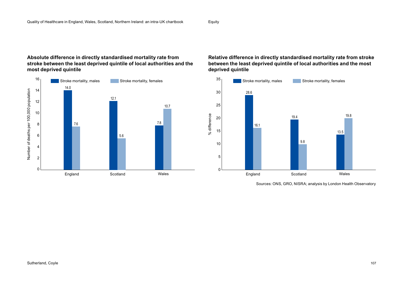### **Absolute difference in directly standardised mortality rate from stroke between the least deprived quintile of local authorities and the most deprived quintile**



### **Relative difference in directly standardised mortality rate from stroke between the least deprived quintile of local authorities and the most deprived quintile**



Sources: ONS, GRO, NISRA; analysis by London Health Observatory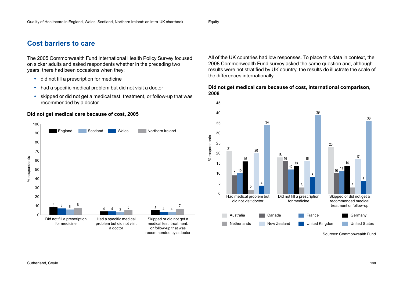**Equity** 

### **Cost barriers to care**

The 2005 Commonwealth Fund International Health Policy Survey focused on sicker adults and asked respondents whether in the preceding two years, there had been occasions when they:

- did not fill a prescription for medicine
- had a specific medical problem but did not visit a doctor
- skipped or did not get a medical test, treatment, or follow-up that was recommended by a doctor.

### **Did not get medical care because of cost, 2005**



All of the UK countries had low responses. To place this data in context, the 2008 Commonwealth Fund survey asked the same question and, although results were not stratified by UK country, the results do illustrate the scale of the differences internationally.

#### **Did not get medical care because of cost, international comparison, 2008**

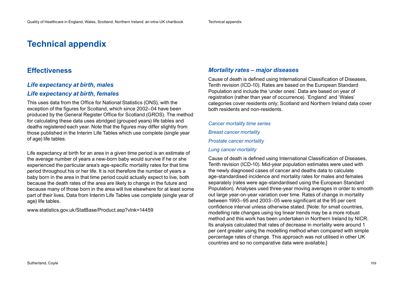# **Technical appendix**

### **Effectiveness**

### *Life expectancy at birth, males*

### *Life expectancy at birth, females*

This uses data from the Office for National Statistics (ONS), with the exception of the figures for Scotland, which since 2002–04 have been produced by the General Register Office for Scotland (GROS). The method for calculating these data uses abridged (grouped years) life tables and deaths registered each year. Note that the figures may differ slightly from those published in the Interim Life Tables which use complete (single year of age) life tables.

Life expectancy at birth for an area in a given time period is an estimate of the average number of years a new-born baby would survive if he or she experienced the particular area's age-specific mortality rates for that time period throughout his or her life. It is not therefore the number of years a baby born in the area in that time period could actually expect to live, both because the death rates of the area are likely to change in the future and because many of those born in the area will live elsewhere for at least some part of their lives. Data from Interim Life Tables use complete (single year of age) life tables.

[www.statistics.gov.uk/StatBase/Product.asp?vlnk=14459](http://www.statistics.gov.uk/StatBase/Product.asp?vlnk=14459) 

### *Mortality rates – major diseases*

Cause of death is defined using International Classification of Diseases, Tenth revision (ICD-10). Rates are based on the European Standard Population and include the 'under ones'. Data are based on year of registration (rather than year of occurrence). 'England' and 'Wales' categories cover residents only; Scotland and Northern Ireland data cover both residents and non-residents.

#### *Cancer mortality time series*

*Breast cancer mortality*

*Prostate cancer mortality*

#### *Lung cancer mortality*

Cause of death is defined using International Classification of Diseases, Tenth revision (ICD-10). Mid-year population estimates were used with the newly diagnosed cases of cancer and deaths data to calculate age-standardised incidence and mortality rates for males and females separately (rates were age-standardised using the European Standard Population). Analyses used three-year moving averages in order to smooth out large year-on-year variation over time. Rates of change in mortality between 1993–95 and 2003–05 were significant at the 95 per cent confidence interval unless otherwise stated. [Note: for small countries, modelling rate changes using log linear trends may be a more robust method and this work has been undertaken in Northern Ireland by NICR. Its analysis calculated that rates of decrease in mortality were around 1 per cent greater using the modelling method when compared with simple percentage rates of change. This approach was not utilised in other UK countries and so no comparative data were available.]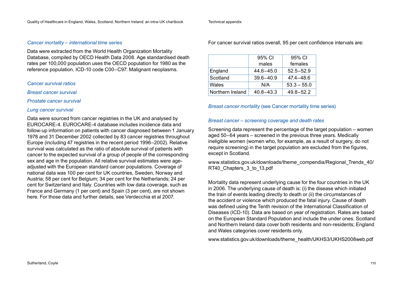### *Cancer mortality – international time series*

Data were extracted from the World Health Organization Mortality Database, compiled by OECD Health Data 2008. Age standardised death rates per 100,000 population uses the OECD population for 1980 as the reference population. ICD-10 code C00–C97: Malignant neoplasms.

*Cancer survival ratios* 

*Breast cancer survival*

*Prostate cancer survival*

### *Lung cancer survival*

Data were sourced from cancer registries in the UK and analysed by EUROCARE-4. EUROCARE-4 database includes incidence data and follow-up information on patients with cancer diagnosed between 1 January 1978 and 31 December 2002 collected by 83 cancer registries throughout Europe (including 47 registries in the recent period 1996–2002). Relative survival was calculated as the ratio of absolute survival of patients with cancer to the expected survival of a group of people of the corresponding sex and age in the population. All relative survival estimates were ageadjusted with the European standard cancer populations. Coverage of national data was 100 per cent for UK countries, Sweden, Norway and Austria; 58 per cent for Belgium; 34 per cent for the Netherlands; 24 per cent for Switzerland and Italy. Countries with low data coverage, such as France and Germany (1 per cent) and Spain (3 per cent), are not shown here. For those data and further details, see Verdecchia et al 2007.

Technical appendix

For cancer survival ratios overall, 95 per cent confidence intervals are:

|                  | 95% CI<br>males | 95% CI<br>females |  |  |
|------------------|-----------------|-------------------|--|--|
| England          | $44.6 - 45.0$   | $52.5 - 52.9$     |  |  |
| Scotland         | $39.6 - 40.9$   | $47.4 - 48.6$     |  |  |
| Wales            | N/A             | $53.3 - 55.0$     |  |  |
| Northern Ireland | $40.8 - 43.3$   | $49.8 - 52.2$     |  |  |

### *Breast cancer mortality* (see Cancer mortality time series)

### *Breast cancer – screening coverage and death rates*

Screening data represent the percentage of the target population – women aged 50–64 years – screened in the previous three years. Medically ineligible women (women who, for example, as a result of surgery, do not require screening) in the target population are excluded from the figures, except in Scotland.

[www.statistics.gov.uk/downloads/theme\\_compendia/Regional\\_Trends\\_40/](http://www.statistics.gov.uk/downloads/theme_compendia/Regional_Trends_40/RT40_Chapters_3_to_13.pdf) RT40 Chapters 3 to 13.pdf

Mortality data represent underlying cause for the four countries in the UK in 2006. The underlying cause of death is: (i) the disease which initiated the train of events leading directly to death or (ii) the circumstances of the accident or violence which produced the fatal injury. Cause of death was defined using the Tenth revision of the International Classification of Diseases (ICD-10). Data are based on year of registration. Rates are based on the European Standard Population and include the under ones. Scotland and Northern Ireland data cover both residents and non-residents; England and Wales categories cover residents only.

[www.statistics.gov.uk/downloads/theme\\_health/UKHS3/UKHS2008web.pdf](http://www.statistics.gov.uk/downloads/theme_health/UKHS3/UKHS2008web.pdf)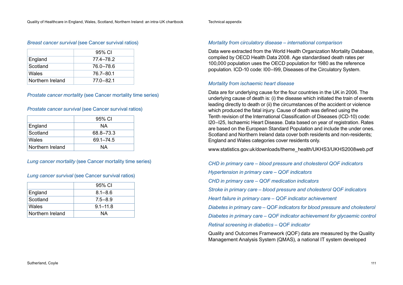# *Breast cancer survival* (see Cancer survival ratios)

|                  | 95% CI    |
|------------------|-----------|
| England          | 77.4–78.2 |
| Scotland         | 76.0–78.6 |
| Wales            | 76.7–80.1 |
| Northern Ireland | 77.0–82.1 |

### *Prostate cancer mortality* (see Cancer mortality time series)

### *Prostate cancer survival* (see Cancer survival ratios)

|                  | 95% CI    |  |  |
|------------------|-----------|--|--|
| England          | ΝA        |  |  |
| Scotland         | 68.8-73.3 |  |  |
| Wales            | 69.1-74.5 |  |  |
| Northern Ireland | ΝA        |  |  |

### *Lung cancer mortality* (see Cancer mortality time series)

### *Lung cancer survival* (see Cancer survival ratios)

|                  | 95% CI       |
|------------------|--------------|
| England          | $8.1 - 8.6$  |
| Scotland         | $7.5 - 8.9$  |
| Wales            | $9.1 - 11.8$ |
| Northern Ireland | ΝA           |

## *Mortality from circulatory disease – international comparison*

Data were extracted from the World Health Organization Mortality Database, compiled by OECD Health Data 2008. Age standardised death rates per 100,000 population uses the OECD population for 1980 as the reference population. ICD-10 code: I00–I99, Diseases of the Circulatory System.

### *Mortality from ischaemic heart disease*

Data are for underlying cause for the four countries in the UK in 2006. The underlying cause of death is: (i) the disease which initiated the train of events leading directly to death or (ii) the circumstances of the accident or violence which produced the fatal injury. Cause of death was defined using the Tenth revision of the International Classification of Diseases (ICD-10) code: I20–I25, Ischaemic Heart Disease. Data based on year of registration. Rates are based on the European Standard Population and include the under ones. Scotland and Northern Ireland data cover both residents and non-residents: England and Wales categories cover residents only.

[www.statistics.gov.uk/downloads/theme\\_health/UKHS3/UKHS2008web.pdf](http://www.statistics.gov.uk/downloads/theme_health/UKHS3/UKHS2008web.pdf) 

*CHD in primary care – blood pressure and cholesterol QOF indicators Hypertension in primary care – QOF indicators CHD in primary care – QOF medication indicators Stroke in primary care – blood pressure and cholesterol QOF indicators Heart failure in primary care – QOF indicator achievement Diabetes in primary care – QOF indicators for blood pressure and cholesterol Diabetes in primary care – QOF indicator achievement for glycaemic control Retinal screening in diabetics – QOF indicator*

Quality and Outcomes Framework (QOF) data are measured by the Quality Management Analysis System (QMAS), a national IT system developed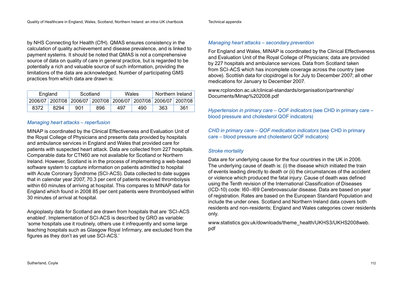by NHS Connecting for Health (CfH). QMAS ensures consistency in the calculation of quality achievement and disease prevalence, and is linked to payment systems. It should be noted that QMAS is not a comprehensive source of data on quality of care in general practice, but is regarded to be potentially a rich and valuable source of such information, providing the limitations of the data are acknowledged. Number of participating GMS practices from which data are drawn is:

| Scotland<br>England |      | Wales                                                           |     | Northern Ireland |     |     |     |
|---------------------|------|-----------------------------------------------------------------|-----|------------------|-----|-----|-----|
|                     |      | 2006/07 2007/08 2006/07 2007/08 2006/07 2007/08 2006/07 2007/08 |     |                  |     |     |     |
| 8372                | 8294 | 901                                                             | 896 | 497              | 490 | 363 | 361 |

### *Managing heart attacks – reperfusion*

MINAP is coordinated by the Clinical Effectiveness and Evaluation Unit of the Royal College of Physicians and presents data provided by hospitals and ambulance services in England and Wales that provided care for patients with suspected heart attack. Data are collected from 227 hospitals. Comparable data for CTN60 are not available for Scotland or Northern Ireland. However, Scotland is in the process of implementing a web-based software system to capture information on patients admitted to hospital with Acute Coronary Syndrome (SCI-ACS). Data collected to date sugges that in calendar year 2007, 70.3 per cent of patients received thrombolysis within 60 minutes of arriving at hospital. This compares to MINAP data for England which found in 2008 85 per cent patients were thrombolysed within 30 minutes of arrival at hospital.

Angioplasty data for Scotland are drawn from hospitals that are 'SCI-ACS enabled'. Implementation of SCI-ACS is described by GRO as variable: 'some hospitals use it routinely, others use it infrequently and some large teaching hospitals such as Glasgow Royal Infirmary, are excluded from the figures as they don't as yet use SCI-ACS.'

#### Technical appendix

### *Managing heart attacks – secondary prevention*

For England and Wales, MINAP is coordinated by the Clinical Effectiveness and Evaluation Unit of the Royal College of Physicians; data are provided by 227 hospitals and ambulance services. Data from Scotland taken from SCI-ACS which has incomplete coverage across the country (see above). Scottish data for clopidrogel is for July to December 2007; all other medications for January to December 2007.

[www.rcplondon.ac.uk/clinical-standards/organisation/partnership/](http://www.rcplondon.ac.uk/clinical-standards/organisation/partnership/Documents/Minap%202008.pdf) [Documents/Minap%202008.pdf](http://www.rcplondon.ac.uk/clinical-standards/organisation/partnership/Documents/Minap%202008.pdf) 

*Hypertension in primary care – QOF indicators* (see CHD in primary care – blood pressure and cholesterol QOF indicators)

*CHD in primary care – QOF medication indicators* (see CHD in primary care – blood pressure and cholesterol QOF indicators)

### *Stroke mortality*

Data are for underlying cause for the four countries in the UK in 2006. The underlying cause of death is: (i) the disease which initiated the train of events leading directly to death or (ii) the circumstances of the accident or violence which produced the fatal injury. Cause of death was defined using the Tenth revision of the International Classification of Diseases (ICD-10) code: I60–I69 Cerebrovascular disease. Data are based on year of registration. Rates are based on the European Standard Population and include the under ones. Scotland and Northern Ireland data covers both residents and non-residents; England and Wales categories cover residents only.

[www.statistics.gov.uk/downloads/theme\\_health/UKHS3/UKHS2008web.](http://www.statistics.gov.uk/downloads/theme_health/UKHS3/UKHS2008web.pdf) [pdf](http://www.statistics.gov.uk/downloads/theme_health/UKHS3/UKHS2008web.pdf)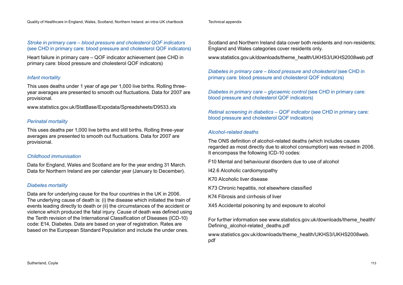## *Stroke in primary care – blood pressure and cholesterol QOF indicators*  (see CHD in primary care: blood pressure and cholesterol QOF indicators)

Heart failure in primary care – QOF indicator achievement (see CHD in primary care: blood pressure and cholesterol QOF indicators)

# *Infant mortality*

This uses deaths under 1 year of age per 1,000 live births. Rolling threeyear averages are presented to smooth out fluctuations. Data for 2007 are provisional.

[www.statistics.gov.uk/StatBase/Expodata/Spreadsheets/D9533.xls](http://www.statistics.gov.uk/StatBase/Expodata/Spreadsheets/D9533.xls) 

# *Perinatal mortality*

This uses deaths per 1,000 live births and still births. Rolling three-year averages are presented to smooth out fluctuations. Data for 2007 are provisional.

# *Childhood immunisation*

Data for England, Wales and Scotland are for the year ending 31 March. Data for Northern Ireland are per calendar year (January to December).

# *Diabetes mortality*

Data are for underlying cause for the four countries in the UK in 2006. The underlying cause of death is: (i) the disease which initiated the train of events leading directly to death or (ii) the circumstances of the accident or violence which produced the fatal injury. Cause of death was defined using the Tenth revision of the International Classification of Diseases (ICD-10) code: E14, Diabetes. Data are based on year of registration. Rates are based on the European Standard Population and include the under ones.

Scotland and Northern Ireland data cover both residents and non-residents: England and Wales categories cover residents only.

[www.statistics.gov.uk/downloads/theme\\_health/UKHS3/UKHS2008web.pdf](http://www.statistics.gov.uk/downloads/theme_health/UKHS3/UKHS2008web.pdf)

*Diabetes in primary care – blood pressure and cholesterol* (see CHD in primary care: blood pressure and cholesterol QOF indicators)

*Diabetes in primary care – glycaemic control (see CHD in primary care:* blood pressure and cholesterol QOF indicators)

*Retinal screening in diabetics – QOF indicator* (see CHD in primary care: blood pressure and cholesterol QOF indicators)

## *Alcohol-related deaths*

The ONS definition of alcohol-related deaths (which includes causes regarded as most directly due to alcohol consumption) was revised in 2006. It encompass the following ICD-10 codes:

F10 Mental and behavioural disorders due to use of alcohol

I42.6 Alcoholic cardiomyopathy

K70 Alcoholic liver disease

K73 Chronic hepatitis, not elsewhere classified

K74 Fibrosis and cirrhosis of liver

X45 Accidental poisoning by and exposure to alcohol

For further information see [www.statistics.gov.uk/downloads/theme\\_health/](http://www.statistics.gov.uk/downloads/theme_health/Defining_alcohol-related_deaths.pdf) Defining alcohol-related deaths.pdf

[www.statistics.gov.uk/downloads/theme\\_health/UKHS3/UKHS2008web.](http://www.statistics.gov.uk/downloads/theme_health/UKHS3/UKHS2008web.pdf) [pdf](http://www.statistics.gov.uk/downloads/theme_health/UKHS3/UKHS2008web.pdf)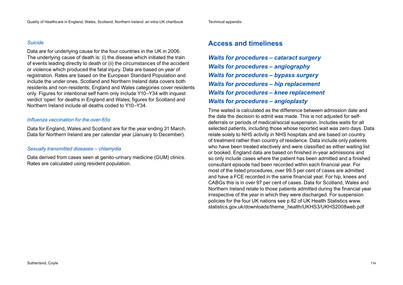# *Suicide*

Data are for underlying cause for the four countries in the UK in 2006. The underlying cause of death is: (i) the disease which initiated the train of events leading directly to death or (ii) the circumstances of the accident or violence which produced the fatal injury. Data are based on year of registration. Rates are based on the European Standard Population and include the under ones. Scotland and Northern Ireland data covers both residents and non-residents; England and Wales categories cover residents only. Figures for intentional self harm only include Y10–Y34 with inquest verdict 'open' for deaths in England and Wales; figures for Scotland and Northern Ireland include all deaths coded to Y10–Y34.

# *Influenza vaccination for the over-65s*

Data for England, Wales and Scotland are for the year ending 31 March. Data for Northern Ireland are per calendar year (January to December).

# *Sexually transmitted diseases – chlamydia*

Data derived from cases seen at genito-urinary medicine (GUM) clinics. Rates are calculated using resident population.

# **Access and timeliness**

*Waits for procedures – cataract surgery Waits for procedures – angiography Waits for procedures – bypass surgery Waits for procedures – hip replacement Waits for procedures – knee replacement Waits for procedures – angioplasty*

Time waited is calculated as the difference between admission date and the date the decision to admit was made. This is not adjusted for selfdeferrals or periods of medical/social suspension. Includes waits for all selected patients, including those whose reported wait was zero days. Data relate solely to NHS activity in NHS hospitals and are based on country of treatment rather than country of residence. Data include only patients who have been treated electively and were classified as either waiting list or booked. England data are based on finished in-year admissions and so only include cases where the patient has been admitted and a finished consultant episode had been recorded within each financial year. For most of the listed procedures, over 99.5 per cent of cases are admitted and have a FCE recorded in the same financial year. For hip, knees and CABGs this is in over 97 per cent of cases. Data for Scotland, Wales and Northern Ireland relate to those patients admitted during the financial year irrespective of the year in which they were discharged. For suspension policies for the four UK nations see p 82 of UK Health Statistics [www.](http://www.statistics.gov.uk/downloads/theme_health/UKHS3/UKHS2008web.pdf) [statistics.gov.uk/downloads/theme\\_health/UKHS3/UKHS2008web.pdf](http://www.statistics.gov.uk/downloads/theme_health/UKHS3/UKHS2008web.pdf)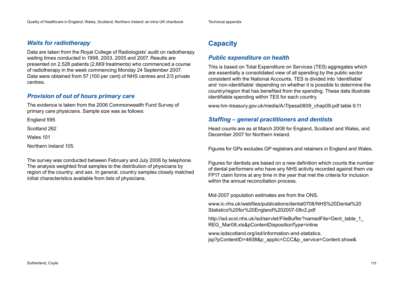# *Waits for radiotherapy*

Data are taken from the Royal College of Radiologists' audit on radiotherapy waiting times conducted in 1998, 2003, 2005 and 2007. Results are presented on 2,528 patients (2,669 treatments) who commenced a course of radiotherapy in the week commencing Monday 24 September 2007. Data were obtained from 57 (100 per cent) of NHS centres and 2/3 private centres.

# *Provision of out of hours primary care*

The evidence is taken from the 2006 Commonwealth Fund Survey of primary care physicians. Sample size was as follows:

England 595

Scotland 262

Wales 101

Northern Ireland 105.

The survey was conducted between February and July 2006 by telephone. The analysis weighted final samples to the distribution of physicians by region of the country, and sex. In general, country samples closely matched initial characteristics available from lists of physicians.

# **Capacity**

# *Public expenditure on health*

This is based on Total Expenditure on Services (TES) aggregates which are essentially a consolidated view of all spending by the public sector consistent with the National Accounts. TES is divided into 'identifiable' and 'non-identifiable' depending on whether it is possible to determine the country/region that has benefited from the spending. These data illustrate identifiable spending within TES for each country.

[www.hm-treasury.gov.uk/media/A/7/pesa0809\\_chap09.pdf ta](http://www.hm-treasury.gov.uk/media/A/7/pesa0809_chap09.pdf)ble 9.11

# *Staffing – general practitioners and dentists*

Head counts are as at March 2008 for England, Scotland and Wales, and December 2007 for Northern Ireland.

Figures for GPs excludes GP registrars and retainers in England and Wales.

Figures for dentists are based on a new definition which counts the number of dental performers who have any NHS activity recorded against them via FP17 claim forms at any time in the year that met the criteria for inclusion within the annual reconciliation process.

Mid-2007 population estimates are from the ONS.

[www.ic.nhs.uk/webfiles/publications/dental0708/NHS%20Dental%20](http://www.ic.nhs.uk/webfiles/publications/dental0708/NHS%20Dental%20Statistics%20for%20England%202007-08v2.pdf) [Statistics%20for%20England%202007-08v2.pdf](http://www.ic.nhs.uk/webfiles/publications/dental0708/NHS%20Dental%20Statistics%20for%20England%202007-08v2.pdf)

http://isd.scot.nhs.uk/isd/servlet/FileBuffer?namedFile=Dent\_table\_1 [REG\\_Mar08.xls&pContentDispositionType=inline](http://isd.scot.nhs.uk/isd/servlet/FileBuffer?namedFile=Dent_table_1_REG_Mar08.xls&pContentDispositionType=inline)

[www.isdscotland.org/isd/information-and-statistics.](http://www.isdscotland.org/isd/information-and-statistics.jsp?pContentID=4608&p_applic=CCC&p_service=Content.show&) [jsp?pContentID=4608&p\\_applic=CCC&p\\_service=Content.show&](http://www.isdscotland.org/isd/information-and-statistics.jsp?pContentID=4608&p_applic=CCC&p_service=Content.show&)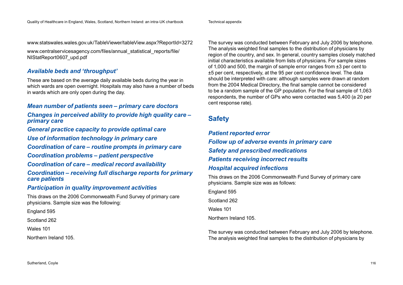[www.statswales.wales.gov.uk/TableViewer/tableView.aspx?ReportId=3272](http://www.statswales.wales.gov.uk/TableViewer/tableView.aspx?ReportId=3272) 

[www.centralservicesagency.com/files/annual\\_statistical\\_reports/file/](http://www.centralservicesagency.com/files/annual_statistical_reports/file/NIStatReport0607_upd.pdf) [NIStatReport0607\\_upd.pdf](http://www.centralservicesagency.com/files/annual_statistical_reports/file/NIStatReport0607_upd.pdf)

# *Available beds and 'throughput'*

These are based on the average daily available beds during the year in which wards are open overnight. Hospitals may also have a number of beds in wards which are only open during the day.

# *Mean number of patients seen – primary care doctors*

*Changes in perceived ability to provide high quality care – primary care*

*General practice capacity to provide optimal care*

*Use of information technology in primary care*

*Coordination of care – routine prompts in primary care*

*Coordination problems – patient perspective*

*Coordination of care – medical record availability*

*Coordination – receiving full discharge reports for primary care patients*

# *Participation in quality improvement activities*

This draws on the 2006 Commonwealth Fund Survey of primary care physicians. Sample size was the following:

England 595

Scotland 262

Wales 101

Northern Ireland 105.

The survey was conducted between February and July 2006 by telephone. The analysis weighted final samples to the distribution of physicians by region of the country, and sex. In general, country samples closely matched initial characteristics available from lists of physicians. For sample sizes of 1,000 and 500, the margin of sample error ranges from ±3 per cent to ±5 per cent, respectively, at the 95 per cent confidence level. The data should be interpreted with care: although samples were drawn at random from the 2004 Medical Directory, the final sample cannot be considered to be a random sample of the GP population. For the final sample of 1,063 respondents, the number of GPs who were contacted was 5,400 (a 20 per cent response rate).

# **Safety**

*Patient reported error Follow up of adverse events in primary care Safety and prescribed medications Patients receiving incorrect results Hospital acquired infections*

This draws on the 2006 Commonwealth Fund Survey of primary care physicians. Sample size was as follows:

England 595 Scotland 262 Wales 101 Northern Ireland 105.

The survey was conducted between February and July 2006 by telephone. The analysis weighted final samples to the distribution of physicians by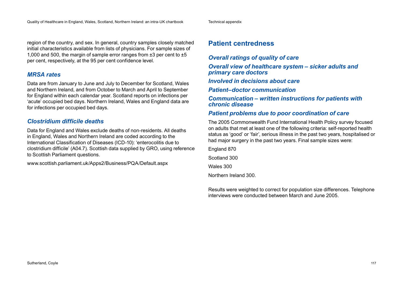### region of the country, and sex. In general, country samples closely matched initial characteristics available from lists of physicians. For sample sizes of 1,000 and 500, the margin of sample error ranges from ±3 per cent to ±5 per cent, respectively, at the 95 per cent confidence level.

# *MRSA rates*

Data are from January to June and July to December for Scotland, Wales and Northern Ireland, and from October to March and April to September for England within each calendar year. Scotland reports on infections per 'acute' occupied bed days. Northern Ireland, Wales and England data are for infections per occupied bed days.

# *Clostridium difficile deaths*

Data for England and Wales exclude deaths of non-residents. All deaths in England, Wales and Northern Ireland are coded according to the International Classification of Diseases (ICD-10): 'enterocolitis due to clostridium difficile' (A04.7). Scottish data supplied by GRO, using reference to Scottish Parliament questions.

[www.scottish.parliament.uk/Apps2/Business/PQA/Default.aspx](http://www.scottish.parliament.uk/Apps2/Business/PQA/Default.aspx) 

# **Patient centredness**

*Overall ratings of quality of care*

*Overall view of healthcare system – sicker adults and primary care doctors*

*Involved in decisions about care*

*Patient–doctor communication*

*Communication – written instructions for patients with chronic disease*

# *Patient problems due to poor coordination of care*

The 2005 Commonwealth Fund International Health Policy survey focused on adults that met at least one of the following criteria: self-reported health status as 'good' or 'fair', serious illness in the past two years, hospitalised or had major surgery in the past two years. Final sample sizes were:

England 870 Scotland 300 Wales 300 Northern Ireland 300.

Results were weighted to correct for population size differences. Telephone interviews were conducted between March and June 2005.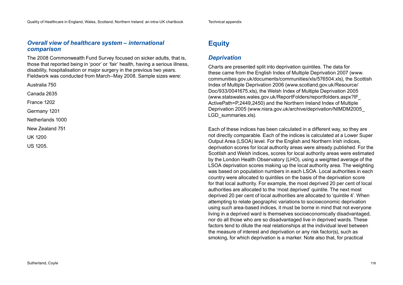# *Overall view of healthcare system – international comparison*

The 2008 Commonwealth Fund Survey focused on sicker adults, that is, those that reported being in 'poor' or 'fair' health, having a serious illness, disability, hospitalisation or major surgery in the previous two years. Fieldwork was conducted from March–May 2008. Sample sizes were:

Australia 750

Canada 2635

France 1202

Germany 1201

Netherlands 1000

New Zealand 751

UK 1200

US 1205.

# **Equity**

# *Deprivation*

Charts are presented split into deprivation quintiles. The data for these came from the English Index of Multiple Deprivation 2007 [\(www.](http://www.communities.gov.uk/documents/communities/xls/576504.xls) [communities.gov.uk/documents/communities/xls/576504.xls\), th](http://www.communities.gov.uk/documents/communities/xls/576504.xls)e Scottish Index of Multiple Deprivation 2006 [\(www.scotland.gov.uk/Resource/](http://www.scotland.gov.uk/Resource/Doc/933/0041675.xls) [Doc/933/0041675.xls\), th](http://www.scotland.gov.uk/Resource/Doc/933/0041675.xls)e Welsh Index of Multiple Deprivation 2005 [\(www.statswales.wales.gov.uk/ReportFolders/reportfolders.aspx?IF\\_](http://www.statswales.wales.gov.uk/ReportFolders/reportfolders.aspx?IF_ActivePath=P,2449,2450) [ActivePath=P,2449,2450\)](http://www.statswales.wales.gov.uk/ReportFolders/reportfolders.aspx?IF_ActivePath=P,2449,2450) and the Northern Ireland Index of Multiple Deprivation 2005 ([www.nisra.gov.uk/archive/deprivation/NIMDM2005\\_](http://www.nisra.gov.uk/archive/deprivation/NIMDM2005_LGD_summaries.xls) [LGD\\_summaries.xls\).](http://www.nisra.gov.uk/archive/deprivation/NIMDM2005_LGD_summaries.xls)

Each of these indices has been calculated in a different way, so they are not directly comparable. Each of the indices is calculated at a Lower Super Output Area (LSOA) level. For the English and Northern Irish indices, deprivation scores for local authority areas were already published. For the Scottish and Welsh indices, scores for local authority areas were estimated by the London Health Observatory (LHO), using a weighted average of the LSOA deprivation scores making up the local authority area. The weighting was based on population numbers in each LSOA. Local authorities in each country were allocated to quintiles on the basis of the deprivation score for that local authority. For example, the most deprived 20 per cent of local authorities are allocated to the 'most deprived' quintile. The next most deprived 20 per cent of local authorities are allocated to 'quintile 4'. When attempting to relate geographic variations to socioeconomic deprivation using such area-based indices, it must be borne in mind that not everyone living in a deprived ward is themselves socioeconomically disadvantaged, nor do all those who are so disadvantaged live in deprived wards. These factors tend to dilute the real relationships at the individual level between the measure of interest and deprivation or any risk factor(s), such as smoking, for which deprivation is a marker. Note also that, for practical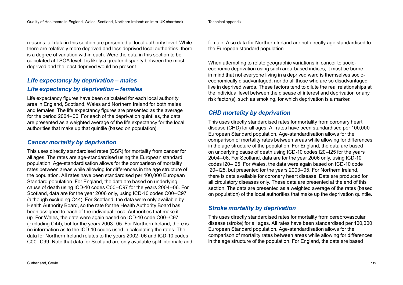reasons, all data in this section are presented at local authority level. While there are relatively more deprived and less deprived local authorities, there is a degree of variation within each. Were the data in this section to be calculated at LSOA level it is likely a greater disparity between the most deprived and the least deprived would be present.

# *Life expectancy by deprivation – males Life expectancy by deprivation – females*

Life expectancy figures have been calculated for each local authority area in England, Scotland, Wales and Northern Ireland for both males and females. The life expectancy figures are presented as the average for the period 2004–06. For each of the deprivation quintiles, the data are presented as a weighted average of the life expectancy for the local authorities that make up that quintile (based on population).

# *Cancer mortality by deprivation*

This uses directly standardised rates (DSR) for mortality from cancer for all ages. The rates are age-standardised using the European standard population. Age-standardisation allows for the comparison of mortality rates between areas while allowing for differences in the age structure of the population. All rates have been standardised per 100,000 European Standard population. For England, the data are based on underlying cause of death using ICD-10 codes C00–C97 for the years 2004–06. For Scotland, data are for the year 2006 only, using ICD-10 codes C00–C97 (although excluding C44). For Scotland, the data were only available by Health Authority Board, so the rate for the Health Authority Board has been assigned to each of the individual Local Authorities that make it up. For Wales, the data were again based on ICD-10 code C00–C97 (excluding C44), but for the years 2003–05. For Northern Ireland, there is no information as to the ICD-10 codes used in calculating the rates. The data for Northern Ireland relates to the years 2002–06 and ICD-10 codes C00–C99. Note that data for Scotland are only available split into male and

female. Also data for Northern Ireland are not directly age standardised to the European standard population.

When attempting to relate geographic variations in cancer to socioeconomic deprivation using such area-based indices, it must be borne in mind that not everyone living in a deprived ward is themselves socioeconomically disadvantaged, nor do all those who are so disadvantaged live in deprived wards. These factors tend to dilute the real relationships at the individual level between the disease of interest and deprivation or any risk factor(s), such as smoking, for which deprivation is a marker.

# *CHD mortality by deprivation*

This uses directly standardised rates for mortality from coronary heart disease (CHD) for all ages. All rates have been standardised per 100,000 European Standard population. Age-standardisation allows for the comparison of mortality rates between areas while allowing for differences in the age structure of the population. For England, the data are based on underlying cause of death using ICD-10 codes I20–I25 for the years 2004–06. For Scotland, data are for the year 2006 only, using ICD-10 codes I20–I25. For Wales, the data were again based on ICD-10 code I20–I25, but presented for the years 2003–05. For Northern Ireland, there is data available for coronary heart disease. Data are produced for all circulatory diseases only. These data are presented at the end of this section. The data are presented as a weighted average of the rates (based on population) of the local authorities that make up the deprivation quintile.

# *Stroke mortality by deprivation*

This uses directly standardised rates for mortality from cerebrovascular disease (stroke) for all ages. All rates have been standardised per 100,000 European Standard population. Age-standardisation allows for the comparison of mortality rates between areas while allowing for differences in the age structure of the population. For England, the data are based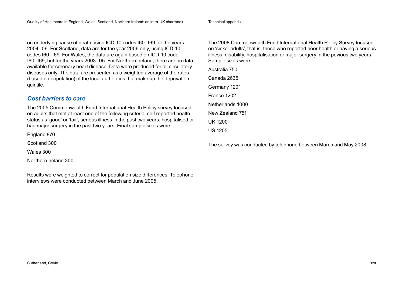on underlying cause of death using ICD-10 codes I60–I69 for the years 2004–06. For Scotland, data are for the year 2006 only, using ICD-10 codes I60–I69. For Wales, the data are again based on ICD-10 code I60–I69, but for the years 2003–05. For Northern Ireland, there are no data available for coronary heart disease. Data were produced for all circulatory diseases only. The data are presented as a weighted average of the rates (based on population) of the local authorities that make up the deprivation quintile.

# *Cost barriers to care*

The 2005 Commonwealth Fund International Health Policy survey focused on adults that met at least one of the following criteria: self reported health status as 'good' or 'fair', serious illness in the past two years, hospitalised or had major surgery in the past two years. Final sample sizes were:

England 870

Scotland 300

Wales 300

Northern Ireland 300.

Results were weighted to correct for population size differences. Telephone interviews were conducted between March and June 2005.

The 2008 Commonwealth Fund International Health Policy Survey focused on 'sicker adults', that is, those who reported poor health or having a serious illness, disability, hospitalisation or major surgery in the pevious two years. Sample sizes were:

Australia 750 Canada 2635 Germany 1201 France 1202 Netherlands 1000 New Zealand 751 UK 1200 US 1205.

The survey was conducted by telephone between March and May 2008.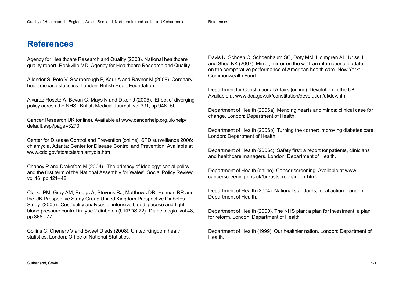# **References**

Agency for Healthcare Research and Quality (2003). National healthcare quality report. Rockville MD: Agency for Healthcare Research and Quality.

Allender S, Peto V, Scarborough P, Kaur A and Rayner M (2008). Coronary heart disease statistics. London: British Heart Foundation.

Alvarez-Rosete A, Bevan G, Mays N and Dixon J (2005). 'Effect of diverging policy across the NHS'. British Medical Journal, vol 331, pp 946–50.

Cancer Research UK (online). Available at [www.cancerhelp.org.uk/help/](http://www.cancerhelp.org.uk/help/default.asp?page=3270) [default.asp?page=3270](http://www.cancerhelp.org.uk/help/default.asp?page=3270)

Center for Disease Control and Prevention (online). STD surveillance 2006: chlamydia. Atlanta: Center for Disease Control and Prevention. Available at [www.cdc.gov/std/stats/chlamydia.htm](http://www.cdc.gov/std/stats/chlamydia.htm) 

Chaney P and Drakeford M (2004). 'The primacy of ideology: social policy and the first term of the National Assembly for Wales'. Social Policy Review, vol 16, pp 121–42.

Clarke PM, Gray AM, Briggs A, Stevens RJ, Matthews DR, Holman RR and the UK Prospective Study Group United Kingdom Prospective Diabetes Study. (2005). 'Cost-utility analyses of intensive blood glucose and tight blood pressure control in type 2 diabetes (UKPDS 72)'. Diabetologia, vol 48, pp 868 –77.

Collins C, Chenery V and Sweet D eds (2008). United Kingdom health statistics. London: Office of National Statistics.

Davis K, Schoen C, Schoenbaum SC, Doty MM, Holmgren AL, Kriss JL and Shea KK (2007). Mirror, mirror on the wall: an international update on the comparative performance of American health care. New York: Commonwealth Fund.

Department for Constitutional Affairs (online). Devolution in the UK. Available at [www.dca.gov.uk/constitution/devolution/ukdev.htm](http://www.dca.gov.uk/constitution/devolution/ukdev.htm)

Department of Health (2006a). Mending hearts and minds: clinical case for change. London: Department of Health.

Department of Health (2006b). Turning the corner: improving diabetes care. London: Department of Health.

Department of Health (2006c). Safety first: a report for patients, clinicians and healthcare managers. London: Department of Health.

Department of Health (online). Cancer screening. Available at [www.](http://www.cancerscreening.nhs.uk/breastscreen/index.html) [cancerscreening.nhs.uk/breastscreen/index.html](http://www.cancerscreening.nhs.uk/breastscreen/index.html) 

Department of Health (2004). National standards, local action. London: Department of Health.

Department of Health (2000). The NHS plan: a plan for investment, a plan for reform. London: Department of Health

Department of Health (1999). Our healthier nation. London: Department of **Health**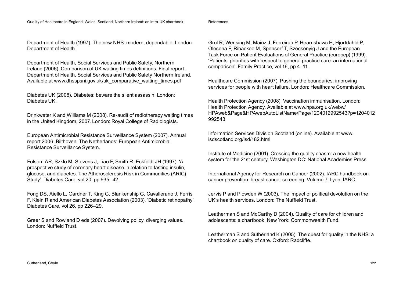#### References

Department of Health (1997). The new NHS: modern, dependable. London: Department of Health.

Department of Health, Social Services and Public Safety, Northern Ireland (2006). Comparison of UK waiting times definitions. Final report. Department of Health, Social Services and Public Safety Northern Ireland. Available at www.dhsspsni.gov.uk/uk\_comparative\_waiting\_times.pdf

Diabetes UK (2008). Diabetes: beware the silent assassin. London: Diabetes UK.

Drinkwater K and Williams M (2008). Re-audit of radiotherapy waiting times in the United Kingdom, 2007. London: Royal College of Radiologists.

European Antimicrobial Resistance Surveillance System (2007). Annual report 2006. Bilthoven, The Netherlands: European Antimicrobial Resistance Surveillance System.

Folsom AR, Szklo M, Stevens J, Liao F, Smith R, Eckfeldt JH (1997). 'A prospective study of coronary heart disease in relation to fasting insulin, glucose, and diabetes. The Atherosclerosis Risk in Communities (ARIC) Study'. Diabetes Care, vol 20, pp 935–42.

Fong DS, Aiello L, Gardner T, King G, Blankenship G, Cavallerano J, Ferris F, Klein R and American Diabetes Association (2003). 'Diabetic retinopathy'. Diabetes Care, vol 26, pp 226–29.

Greer S and Rowland D eds (2007). Devolving policy, diverging values. London: Nuffield Trust.

Grol R, Wensing M, Mainz J, Ferreirab P, Hearnshawc H, Hjortdahld P, Olesena F, Ribackee M, Spenserf T, Szécsényig J and the European Task Force on Patient Evaluations of General Practice (europep) (1999). 'Patients' priorities with respect to general practice care: an international comparison'. Family Practice, vol 16, pp 4–11.

Healthcare Commission (2007). Pushing the boundaries: improving services for people with heart failure. London: Healthcare Commission.

Health Protection Agency (2008). Vaccination immunisation. London: Health Protection Agency. Available at [www.hpa.org.uk/webw/](http://www.hpa.org.uk/webw/HPAweb&Page&HPAwebAutoListName/Page/1204012992543?p=1204012992543) [HPAweb&Page&HPAwebAutoListName/Page/1204012992543?p=1204012](http://www.hpa.org.uk/webw/HPAweb&Page&HPAwebAutoListName/Page/1204012992543?p=1204012992543) 992543

Information Services Division Scotland (online). Available at [www.](http://www.isdscotland.org/isd/182.html) [isdscotland.org/isd/182.html](http://www.isdscotland.org/isd/182.html) 

Institute of Medicine (2001). Crossing the quality chasm: a new health system for the 21st century. Washington DC: National Academies Press.

International Agency for Research on Cancer (2002). IARC handbook on cancer prevention: breast cancer screening. Volume 7. Lyon: IARC.

Jervis P and Plowden W (2003). The impact of political devolution on the UK's health services. London: The Nuffield Trust.

Leatherman S and McCarthy D (2004). Quality of care for children and adolescents: a chartbook. New York: Commonwealth Fund.

Leatherman S and Sutherland K (2005). The quest for quality in the NHS: a chartbook on quality of care. Oxford: Radcliffe.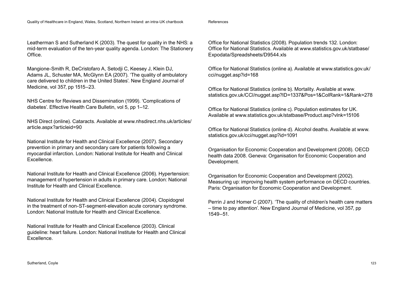Leatherman S and Sutherland K (2003). The quest for quality in the NHS: a mid-term evaluation of the ten-year quality agenda. London: The Stationery Office.

Mangione-Smith R, DeCristofaro A, Setodji C, Keesey J, Klein DJ, Adams JL, Schuster MA, McGlynn EA (2007). 'The quality of ambulatory care delivered to children in the United States'. New England Journal of Medicine, vol 357, pp 1515–23.

NHS Centre for Reviews and Dissemination (1999). 'Complications of diabetes'. Effective Health Care Bulletin, vol 5, pp 1–12.

NHS Direct (online). Cataracts. Available at [www.nhsdirect.nhs.uk/articles/](http://www.nhsdirect.nhs.uk/articles/article.aspx?articleid=20) [article.aspx?articleid=90](http://www.nhsdirect.nhs.uk/articles/article.aspx?articleid=20) 

National Institute for Health and Clinical Excellence (2007). Secondary prevention in primary and secondary care for patients following a myocardial infarction. London: National Institute for Health and Clinical Excellence.

National Institute for Health and Clinical Excellence (2006). Hypertension: management of hypertension in adults in primary care. London: National Institute for Health and Clinical Excellence.

National Institute for Health and Clinical Excellence (2004). Clopidogrel in the treatment of non-ST-segment-elevation acute coronary syndrome. London: National Institute for Health and Clinical Excellence.

National Institute for Health and Clinical Excellence (2003). Clinical guideline: heart failure. London: National Institute for Health and Clinical Excellence.

Office for National Statistics (2008). Population trends 132. London: Office for National Statistics. Available at [www.statistics.gov.uk/statbase/](http://www.statistics.gov.uk/statbase/Expodata/Spreadsheets/D9544.xls) [Expodata/Spreadsheets/D9544.xls](http://www.statistics.gov.uk/statbase/Expodata/Spreadsheets/D9544.xls) 

Office for National Statistics (online a). Available at [www.statistics.gov.uk/](http://www.statistics.gov.uk/cci/nugget.asp?id=168) [cci/nugget.asp?id=168](http://www.statistics.gov.uk/cci/nugget.asp?id=168)

Office for National Statistics (online b). Mortality. Available at [www.](http://www.statistics.gov.uk/CCI/nugget.asp?ID=1337&Pos=1&ColRank=1&Rank=278) [statistics.gov.uk/CCI/nugget.asp?ID=1337&Pos=1&ColRank=1&Rank=278](http://www.statistics.gov.uk/CCI/nugget.asp?ID=1337&Pos=1&ColRank=1&Rank=278) 

Office for National Statistics (online c). Population estimates for UK. Available at [www.statistics.gov.uk/statbase/Product.asp?vlnk=15106](http://www.statistics.gov.uk/statbase/Product.asp?vlnk=15106) 

Office for National Statistics (online d). Alcohol deaths. Available at [www.](http://www.statistics.gov.uk/cci/nugget.asp?id=1091) statistics.gov.uk/cci/nugget.asp?id=1091

Organisation for Economic Cooperation and Development (2008). OECD health data 2008. Geneva: Organisation for Economic Cooperation and Development.

Organisation for Economic Cooperation and Development (2002). Measuring up: improving health system performance on OECD countries. Paris: Organisation for Economic Cooperation and Development.

Perrin J and Homer C (2007). 'The quality of children's health care matters – time to pay attention'. New England Journal of Medicine, vol 357, pp 1549–51.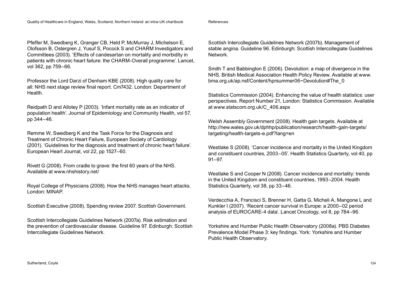#### References

Pfeffer M, Swedberg K, Granger CB, Held P, McMurray J, Michelson E, Olofsson B, Ostergren J, Yusuf S, Pocock S and CHARM Investigators and Committees (2003). 'Effects of candesartan on mortality and morbidity in patients with chronic heart failure: the CHARM-Overall programme'. Lancet, vol 362, pp 759–66.

Professor the Lord Darzi of Denham KBE (2008). High quality care for all: NHS next stage review final report. Cm7432. London: Department of Health.

Reidpath D and Allotey P (2003). 'Infant mortality rate as an indicator of population health'. Journal of Epidemiology and Community Health, vol 57, pp 344–46.

Remme W, Swedberg K and the Task Force for the Diagnosis and Treatment of Chronic Heart Failure, European Society of Cardiology (2001). 'Guidelines for the diagnosis and treatment of chronic heart failure'. European Heart Journal, vol 22, pp 1527–60.

Rivett G (2008). From cradle to grave: the first 60 years of the NHS. Available at [www.nhshistory.net/](http://www.nhshistory.net)

Royal College of Physicians (2008). How the NHS manages heart attacks. London: MINAP.

Scottish Executive (2008). Spending review 2007. Scottish Government.

Scottish Intercollegiate Guidelines Network (2007a). Risk estimation and the prevention of cardiovascular disease. Guideline 97. Edinburgh: Scottish Intercollegiate Guidelines Network.

Scottish Intercollegiate Guidelines Network (2007b). Management of stable angina. Guideline 96. Edinburgh: Scottish Intercollegiate Guidelines Network.

Smith T and Babbington E (2006). Devolution: a map of divergence in the NHS. British Medical Association Health Policy Review. Available at [www.](http://www.bma.org.uk/ap.nsf/Content/hprsummer06~Devolution#The_0) [bma.org.uk/ap.nsf/Content/hprsummer06~Devolution#The\\_0](http://www.bma.org.uk/ap.nsf/Content/hprsummer06~Devolution#The_0) 

Statistics Commission (2004). Enhancing the value of health statistics: user perspectives. Report Number 21, London: Statistics Commission. Available at [www.statscom.org.uk/C\\_406.aspx](http://www.statscom.org.uk/C_406.aspx)

Welsh Assembly Government (2008). Health gain targets. Available at [http://new.wales.gov.uk/dphhp/publication/research/health-gain-targets/](http://new.wales.gov.uk/dphhp/publication/research/health-gain-targets/targeting/health-targets-e.pdf?lang=en) [targeting/health-targets-e.pdf?lang=en](http://new.wales.gov.uk/dphhp/publication/research/health-gain-targets/targeting/health-targets-e.pdf?lang=en) 

Westlake S (2008). 'Cancer incidence and mortality in the United Kingdom and constituent countries, 2003–05'. Health Statistics Quarterly, vol 40, pp 91–97.

Westlake S and Cooper N (2008). Cancer incidence and mortality: trends in the United Kingdom and constituent countries, 1993–2004. Health Statistics Quarterly, vol 38, pp 33–46.

Verdecchia A, Francisci S, Brenner H, Gatta G, Micheli A, Mangone L and Kunkler I (2007). 'Recent cancer survival in Europe: a 2000–02 period analysis of EUROCARE-4 data'. Lancet Oncology, vol 8, pp 784–96.

Yorkshire and Humber Public Health Observatory (2008a). PBS Diabetes Prevalence Model Phase 3: key findings. York: Yorkshire and Humber Public Health Observatory.